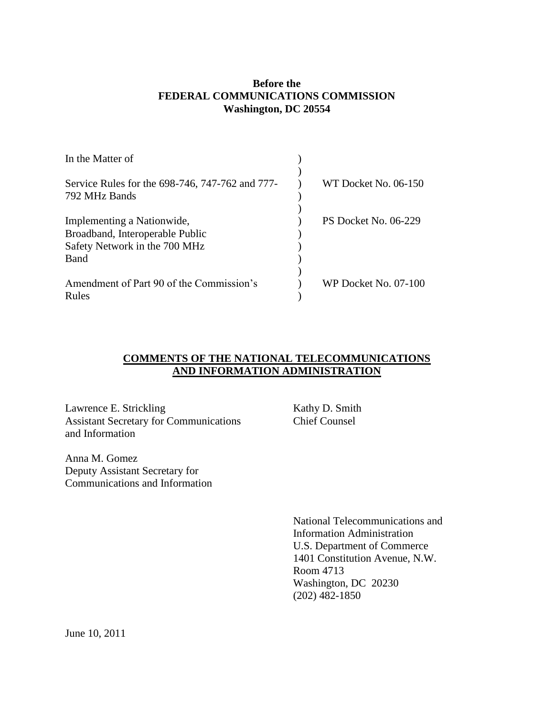# **Before the FEDERAL COMMUNICATIONS COMMISSION Washington, DC 20554**

| In the Matter of                                |                      |  |
|-------------------------------------------------|----------------------|--|
|                                                 |                      |  |
| Service Rules for the 698-746, 747-762 and 777- | WT Docket No. 06-150 |  |
| 792 MHz Bands                                   |                      |  |
|                                                 |                      |  |
| Implementing a Nationwide,                      | PS Docket No. 06-229 |  |
| Broadband, Interoperable Public                 |                      |  |
| Safety Network in the 700 MHz                   |                      |  |
| <b>Band</b>                                     |                      |  |
|                                                 |                      |  |
| Amendment of Part 90 of the Commission's        | WP Docket No. 07-100 |  |
| Rules                                           |                      |  |

# **COMMENTS OF THE NATIONAL TELECOMMUNICATIONS AND INFORMATION ADMINISTRATION**

Lawrence E. Strickling Kathy D. Smith Assistant Secretary for Communications Chief Counsel and Information

Anna M. Gomez Deputy Assistant Secretary for Communications and Information

National Telecommunications and Information Administration U.S. Department of Commerce 1401 Constitution Avenue, N.W. Room 4713 Washington, DC 20230 (202) 482-1850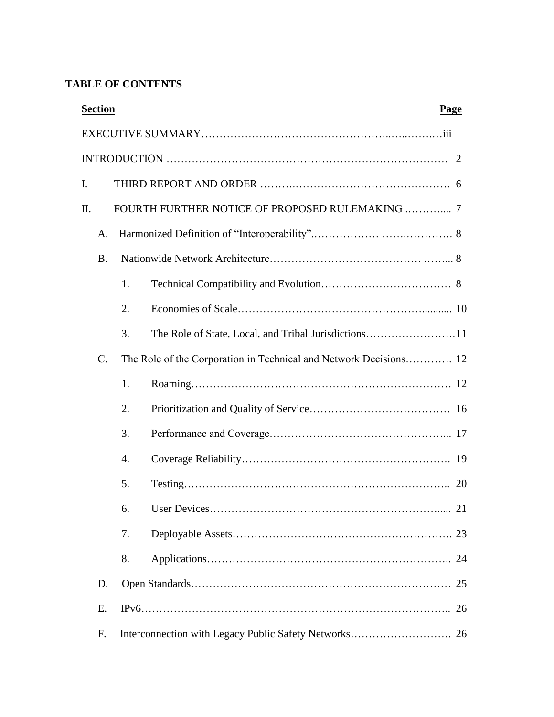# **TABLE OF CONTENTS**

|    | <b>Section</b>  |    |                                                                   | Page |  |  |
|----|-----------------|----|-------------------------------------------------------------------|------|--|--|
|    |                 |    |                                                                   |      |  |  |
|    |                 |    |                                                                   |      |  |  |
| I. |                 |    |                                                                   |      |  |  |
| Π. |                 |    | FOURTH FURTHER NOTICE OF PROPOSED RULEMAKING  7                   |      |  |  |
|    | A.              |    |                                                                   |      |  |  |
|    | <b>B.</b>       |    |                                                                   |      |  |  |
|    |                 | 1. |                                                                   |      |  |  |
|    |                 | 2. |                                                                   |      |  |  |
|    |                 | 3. |                                                                   |      |  |  |
|    | $\mathcal{C}$ . |    | The Role of the Corporation in Technical and Network Decisions 12 |      |  |  |
|    |                 | 1. |                                                                   |      |  |  |
|    |                 | 2. |                                                                   |      |  |  |
|    |                 | 3. |                                                                   |      |  |  |
|    |                 | 4. |                                                                   |      |  |  |
|    |                 | 5. |                                                                   |      |  |  |
|    |                 | 6. |                                                                   |      |  |  |
|    |                 | 7. |                                                                   |      |  |  |
|    |                 | 8. |                                                                   |      |  |  |
|    | D.              |    |                                                                   | 25   |  |  |
|    | E.              |    |                                                                   | 26   |  |  |
|    | F.              |    |                                                                   |      |  |  |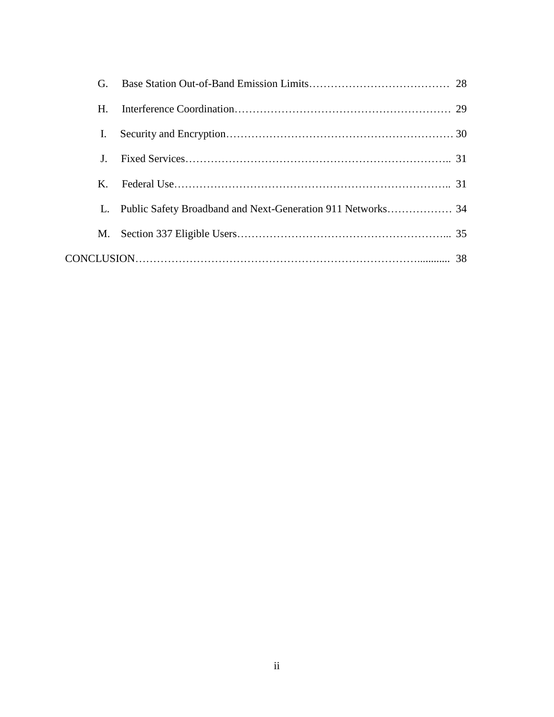| G.      |                                                             |  |
|---------|-------------------------------------------------------------|--|
| H.      |                                                             |  |
| L.      |                                                             |  |
|         |                                                             |  |
| $K_{-}$ |                                                             |  |
|         | Public Safety Broadband and Next-Generation 911 Networks 34 |  |
| M.      |                                                             |  |
|         |                                                             |  |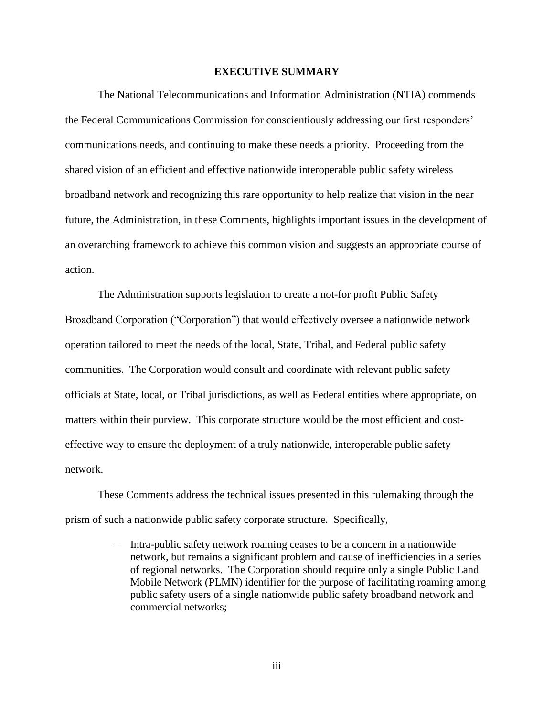#### **EXECUTIVE SUMMARY**

The National Telecommunications and Information Administration (NTIA) commends the Federal Communications Commission for conscientiously addressing our first responders" communications needs, and continuing to make these needs a priority. Proceeding from the shared vision of an efficient and effective nationwide interoperable public safety wireless broadband network and recognizing this rare opportunity to help realize that vision in the near future, the Administration, in these Comments, highlights important issues in the development of an overarching framework to achieve this common vision and suggests an appropriate course of action.

The Administration supports legislation to create a not-for profit Public Safety Broadband Corporation ("Corporation") that would effectively oversee a nationwide network operation tailored to meet the needs of the local, State, Tribal, and Federal public safety communities. The Corporation would consult and coordinate with relevant public safety officials at State, local, or Tribal jurisdictions, as well as Federal entities where appropriate, on matters within their purview. This corporate structure would be the most efficient and costeffective way to ensure the deployment of a truly nationwide, interoperable public safety network.

These Comments address the technical issues presented in this rulemaking through the prism of such a nationwide public safety corporate structure. Specifically,

> − Intra-public safety network roaming ceases to be a concern in a nationwide network, but remains a significant problem and cause of inefficiencies in a series of regional networks. The Corporation should require only a single Public Land Mobile Network (PLMN) identifier for the purpose of facilitating roaming among public safety users of a single nationwide public safety broadband network and commercial networks;

> > iii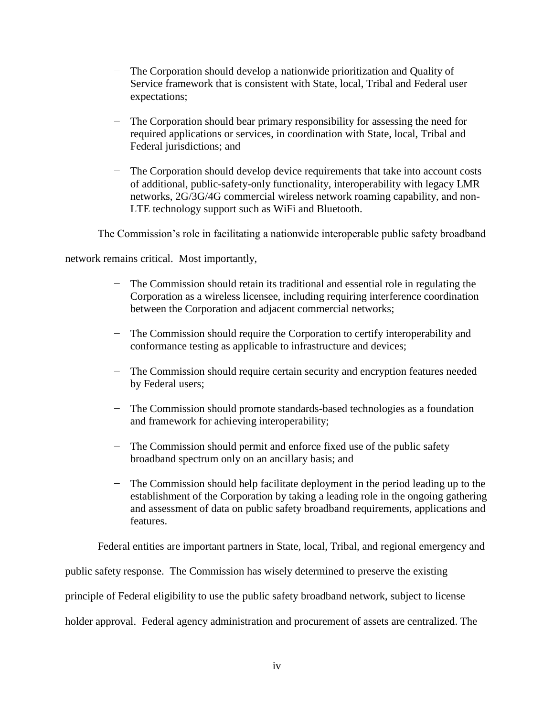- − The Corporation should develop a nationwide prioritization and Quality of Service framework that is consistent with State, local, Tribal and Federal user expectations;
- − The Corporation should bear primary responsibility for assessing the need for required applications or services, in coordination with State, local, Tribal and Federal jurisdictions; and
- − The Corporation should develop device requirements that take into account costs of additional, public-safety-only functionality, interoperability with legacy LMR networks, 2G/3G/4G commercial wireless network roaming capability, and non-LTE technology support such as WiFi and Bluetooth.

The Commission"s role in facilitating a nationwide interoperable public safety broadband

network remains critical. Most importantly,

- − The Commission should retain its traditional and essential role in regulating the Corporation as a wireless licensee, including requiring interference coordination between the Corporation and adjacent commercial networks;
- − The Commission should require the Corporation to certify interoperability and conformance testing as applicable to infrastructure and devices;
- − The Commission should require certain security and encryption features needed by Federal users;
- − The Commission should promote standards-based technologies as a foundation and framework for achieving interoperability;
- − The Commission should permit and enforce fixed use of the public safety broadband spectrum only on an ancillary basis; and
- − The Commission should help facilitate deployment in the period leading up to the establishment of the Corporation by taking a leading role in the ongoing gathering and assessment of data on public safety broadband requirements, applications and features.

Federal entities are important partners in State, local, Tribal, and regional emergency and

public safety response. The Commission has wisely determined to preserve the existing

principle of Federal eligibility to use the public safety broadband network, subject to license

holder approval. Federal agency administration and procurement of assets are centralized. The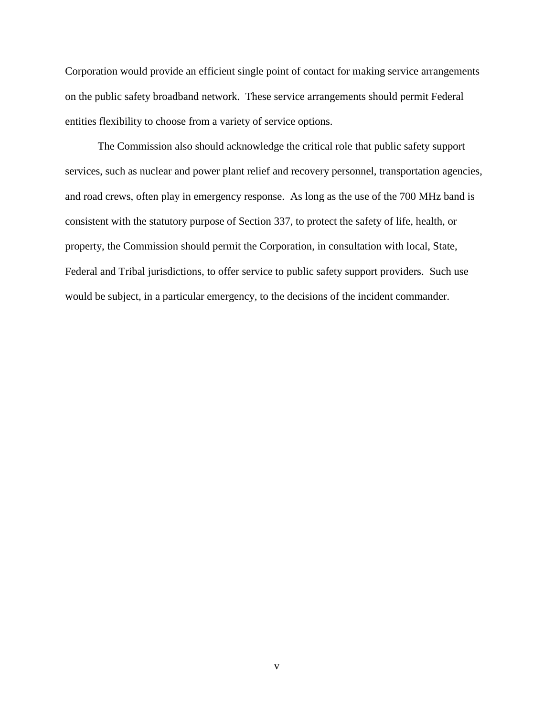Corporation would provide an efficient single point of contact for making service arrangements on the public safety broadband network. These service arrangements should permit Federal entities flexibility to choose from a variety of service options.

The Commission also should acknowledge the critical role that public safety support services, such as nuclear and power plant relief and recovery personnel, transportation agencies, and road crews, often play in emergency response. As long as the use of the 700 MHz band is consistent with the statutory purpose of Section 337, to protect the safety of life, health, or property, the Commission should permit the Corporation, in consultation with local, State, Federal and Tribal jurisdictions, to offer service to public safety support providers. Such use would be subject, in a particular emergency, to the decisions of the incident commander.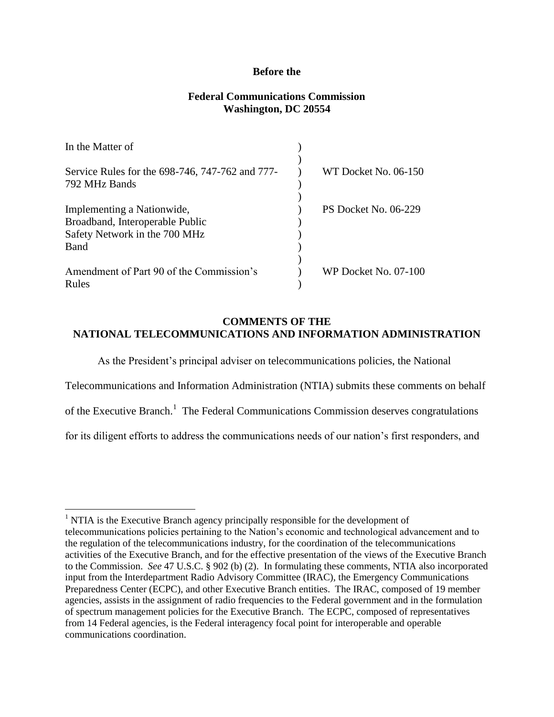# **Before the**

# **Federal Communications Commission Washington, DC 20554**

| In the Matter of                                |                             |
|-------------------------------------------------|-----------------------------|
|                                                 |                             |
| Service Rules for the 698-746, 747-762 and 777- | WT Docket No. 06-150        |
| 792 MHz Bands                                   |                             |
|                                                 |                             |
| Implementing a Nationwide,                      | <b>PS Docket No. 06-229</b> |
| Broadband, Interoperable Public                 |                             |
| Safety Network in the 700 MHz                   |                             |
| Band                                            |                             |
|                                                 |                             |
| Amendment of Part 90 of the Commission's        | WP Docket No. 07-100        |
| Rules                                           |                             |

# **COMMENTS OF THE NATIONAL TELECOMMUNICATIONS AND INFORMATION ADMINISTRATION**

As the President"s principal adviser on telecommunications policies, the National Telecommunications and Information Administration (NTIA) submits these comments on behalf of the Executive Branch.<sup>1</sup> The Federal Communications Commission deserves congratulations for its diligent efforts to address the communications needs of our nation"s first responders, and

l

<sup>&</sup>lt;sup>1</sup> NTIA is the Executive Branch agency principally responsible for the development of telecommunications policies pertaining to the Nation"s economic and technological advancement and to the regulation of the telecommunications industry, for the coordination of the telecommunications activities of the Executive Branch, and for the effective presentation of the views of the Executive Branch to the Commission. *See* 47 U.S.C. § 902 (b) (2). In formulating these comments, NTIA also incorporated input from the Interdepartment Radio Advisory Committee (IRAC), the Emergency Communications Preparedness Center (ECPC), and other Executive Branch entities. The IRAC, composed of 19 member agencies, assists in the assignment of radio frequencies to the Federal government and in the formulation of spectrum management policies for the Executive Branch. The ECPC, composed of representatives from 14 Federal agencies, is the Federal interagency focal point for interoperable and operable communications coordination.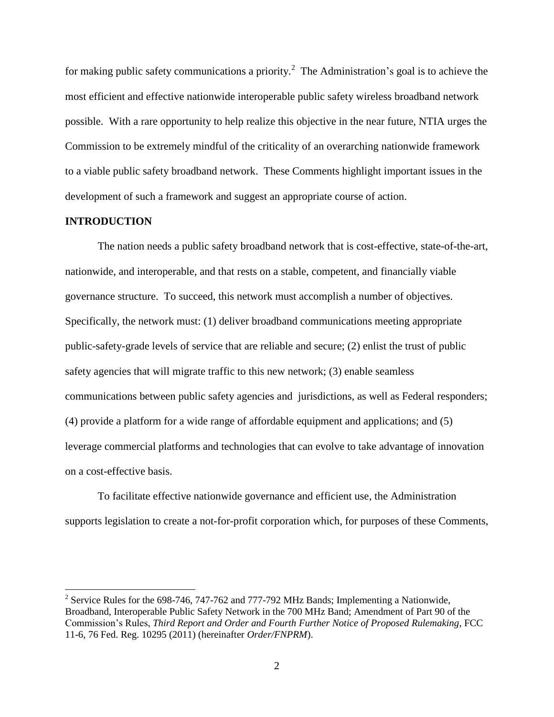for making public safety communications a priority.<sup>2</sup> The Administration's goal is to achieve the most efficient and effective nationwide interoperable public safety wireless broadband network possible. With a rare opportunity to help realize this objective in the near future, NTIA urges the Commission to be extremely mindful of the criticality of an overarching nationwide framework to a viable public safety broadband network. These Comments highlight important issues in the development of such a framework and suggest an appropriate course of action.

# **INTRODUCTION**

 $\overline{\phantom{a}}$ 

The nation needs a public safety broadband network that is cost-effective, state-of-the-art, nationwide, and interoperable, and that rests on a stable, competent, and financially viable governance structure. To succeed, this network must accomplish a number of objectives. Specifically, the network must: (1) deliver broadband communications meeting appropriate public-safety-grade levels of service that are reliable and secure; (2) enlist the trust of public safety agencies that will migrate traffic to this new network; (3) enable seamless communications between public safety agencies and jurisdictions, as well as Federal responders; (4) provide a platform for a wide range of affordable equipment and applications; and (5) leverage commercial platforms and technologies that can evolve to take advantage of innovation on a cost-effective basis.

To facilitate effective nationwide governance and efficient use, the Administration supports legislation to create a not-for-profit corporation which, for purposes of these Comments,

<sup>&</sup>lt;sup>2</sup> Service Rules for the 698-746, 747-762 and 777-792 MHz Bands; Implementing a Nationwide, Broadband, Interoperable Public Safety Network in the 700 MHz Band; Amendment of Part 90 of the Commission"s Rules, *Third Report and Order and Fourth Further Notice of Proposed Rulemaking*, FCC 11-6, 76 Fed. Reg. 10295 (2011) (hereinafter *Order/FNPRM*).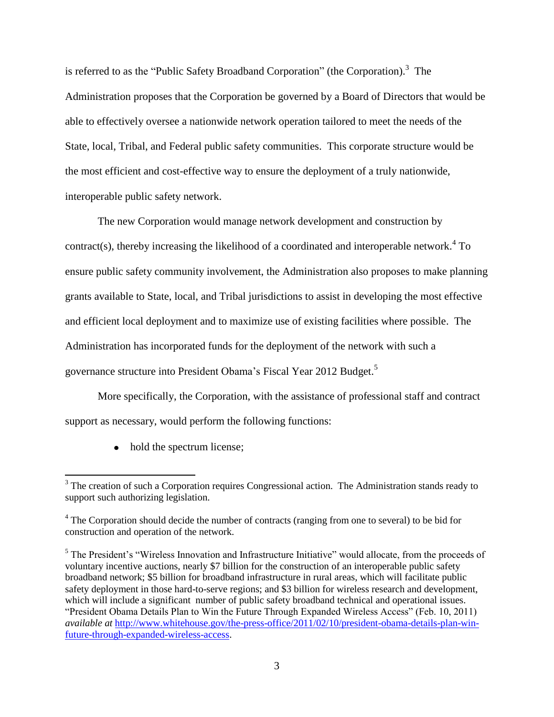is referred to as the "Public Safety Broadband Corporation" (the Corporation).<sup>3</sup> The Administration proposes that the Corporation be governed by a Board of Directors that would be able to effectively oversee a nationwide network operation tailored to meet the needs of the State, local, Tribal, and Federal public safety communities. This corporate structure would be the most efficient and cost-effective way to ensure the deployment of a truly nationwide, interoperable public safety network.

The new Corporation would manage network development and construction by contract(s), thereby increasing the likelihood of a coordinated and interoperable network.<sup>4</sup> To ensure public safety community involvement, the Administration also proposes to make planning grants available to State, local, and Tribal jurisdictions to assist in developing the most effective and efficient local deployment and to maximize use of existing facilities where possible. The Administration has incorporated funds for the deployment of the network with such a governance structure into President Obama's Fiscal Year 2012 Budget.<sup>5</sup>

More specifically, the Corporation, with the assistance of professional staff and contract support as necessary, would perform the following functions:

• hold the spectrum license;

l  $3$  The creation of such a Corporation requires Congressional action. The Administration stands ready to support such authorizing legislation.

<sup>&</sup>lt;sup>4</sup> The Corporation should decide the number of contracts (ranging from one to several) to be bid for construction and operation of the network.

<sup>&</sup>lt;sup>5</sup> The President's "Wireless Innovation and Infrastructure Initiative" would allocate, from the proceeds of voluntary incentive auctions, nearly \$7 billion for the construction of an interoperable public safety broadband network; \$5 billion for broadband infrastructure in rural areas, which will facilitate public safety deployment in those hard-to-serve regions; and \$3 billion for wireless research and development, which will include a significant number of public safety broadband technical and operational issues*.*  "President Obama Details Plan to Win the Future Through Expanded Wireless Access" (Feb. 10, 2011) *available at* [http://www.whitehouse.gov/the-press-office/2011/02/10/president-obama-details-plan-win](http://www.whitehouse.gov/the-press-office/2011/02/10/president-obama-details-plan-win-future-through-expanded-wireless-access)[future-through-expanded-wireless-access.](http://www.whitehouse.gov/the-press-office/2011/02/10/president-obama-details-plan-win-future-through-expanded-wireless-access)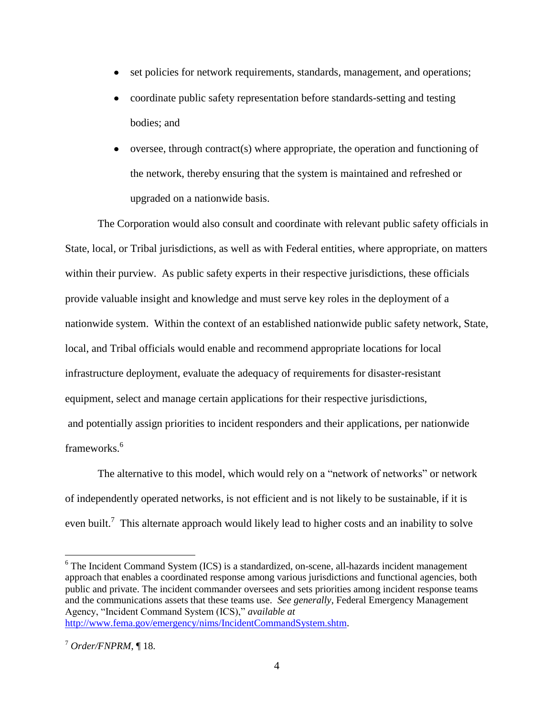- set policies for network requirements, standards, management, and operations;  $\bullet$
- coordinate public safety representation before standards-setting and testing bodies; and
- $\bullet$ oversee, through contract(s) where appropriate, the operation and functioning of the network, thereby ensuring that the system is maintained and refreshed or upgraded on a nationwide basis.

The Corporation would also consult and coordinate with relevant public safety officials in State, local, or Tribal jurisdictions, as well as with Federal entities, where appropriate, on matters within their purview. As public safety experts in their respective jurisdictions, these officials provide valuable insight and knowledge and must serve key roles in the deployment of a nationwide system. Within the context of an established nationwide public safety network, State, local, and Tribal officials would enable and recommend appropriate locations for local infrastructure deployment, evaluate the adequacy of requirements for disaster-resistant equipment, select and manage certain applications for their respective jurisdictions, and potentially assign priorities to incident responders and their applications, per nationwide frameworks.<sup>6</sup>

The alternative to this model, which would rely on a "network of networks" or network of independently operated networks, is not efficient and is not likely to be sustainable, if it is even built.<sup>7</sup> This alternate approach would likely lead to higher costs and an inability to solve

<sup>&</sup>lt;sup>6</sup> The Incident Command System (ICS) is a standardized, on-scene, all-hazards incident management approach that enables a coordinated response among various jurisdictions and functional agencies, both public and private. The incident commander oversees and sets priorities among incident response teams and the communications assets that these teams use. *See generally*, Federal Emergency Management Agency, "Incident Command System (ICS)," *available at* [http://www.fema.gov/emergency/nims/IncidentCommandSystem.shtm.](http://www.fema.gov/emergency/nims/IncidentCommandSystem.shtm)

 $^7$  *Order/FNPRM*, ¶ 18.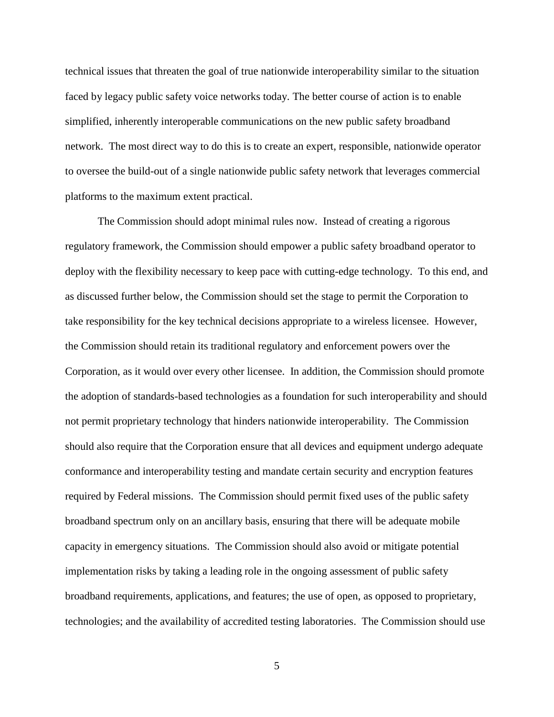technical issues that threaten the goal of true nationwide interoperability similar to the situation faced by legacy public safety voice networks today. The better course of action is to enable simplified, inherently interoperable communications on the new public safety broadband network. The most direct way to do this is to create an expert, responsible, nationwide operator to oversee the build-out of a single nationwide public safety network that leverages commercial platforms to the maximum extent practical.

The Commission should adopt minimal rules now. Instead of creating a rigorous regulatory framework, the Commission should empower a public safety broadband operator to deploy with the flexibility necessary to keep pace with cutting-edge technology. To this end, and as discussed further below, the Commission should set the stage to permit the Corporation to take responsibility for the key technical decisions appropriate to a wireless licensee. However, the Commission should retain its traditional regulatory and enforcement powers over the Corporation, as it would over every other licensee. In addition, the Commission should promote the adoption of standards-based technologies as a foundation for such interoperability and should not permit proprietary technology that hinders nationwide interoperability. The Commission should also require that the Corporation ensure that all devices and equipment undergo adequate conformance and interoperability testing and mandate certain security and encryption features required by Federal missions. The Commission should permit fixed uses of the public safety broadband spectrum only on an ancillary basis, ensuring that there will be adequate mobile capacity in emergency situations. The Commission should also avoid or mitigate potential implementation risks by taking a leading role in the ongoing assessment of public safety broadband requirements, applications, and features; the use of open, as opposed to proprietary, technologies; and the availability of accredited testing laboratories. The Commission should use

5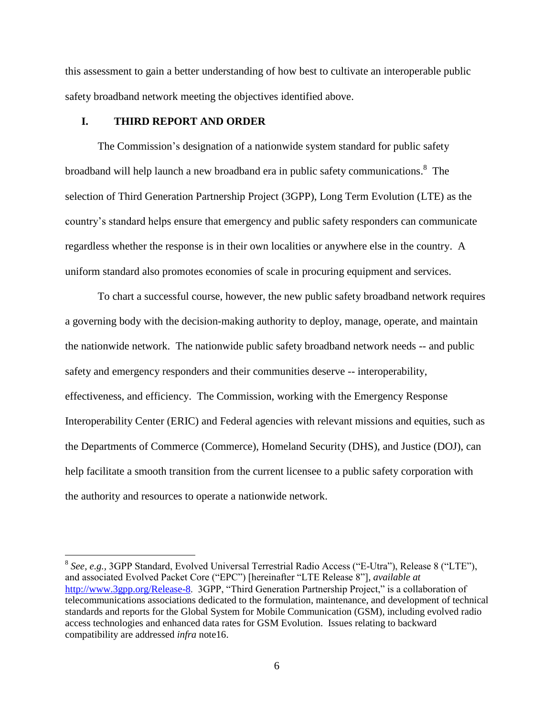this assessment to gain a better understanding of how best to cultivate an interoperable public safety broadband network meeting the objectives identified above.

# **I. THIRD REPORT AND ORDER**

 $\overline{\phantom{a}}$ 

The Commission"s designation of a nationwide system standard for public safety broadband will help launch a new broadband era in public safety communications.<sup>8</sup> The selection of Third Generation Partnership Project (3GPP), Long Term Evolution (LTE) as the country"s standard helps ensure that emergency and public safety responders can communicate regardless whether the response is in their own localities or anywhere else in the country. A uniform standard also promotes economies of scale in procuring equipment and services.

To chart a successful course, however, the new public safety broadband network requires a governing body with the decision-making authority to deploy, manage, operate, and maintain the nationwide network. The nationwide public safety broadband network needs -- and public safety and emergency responders and their communities deserve -- interoperability, effectiveness, and efficiency. The Commission, working with the Emergency Response Interoperability Center (ERIC) and Federal agencies with relevant missions and equities, such as the Departments of Commerce (Commerce), Homeland Security (DHS), and Justice (DOJ), can help facilitate a smooth transition from the current licensee to a public safety corporation with the authority and resources to operate a nationwide network.

<sup>8</sup> *See, e.g.,* 3GPP Standard, Evolved Universal Terrestrial Radio Access ("E-Utra"), Release 8 ("LTE"), and associated Evolved Packet Core ("EPC") [hereinafter "LTE Release 8"], *available at* [http://www.3gpp.org/Release-8.](http://www.3gpp.org/Release-8) 3GPP, "Third Generation Partnership Project," is a collaboration of telecommunications associations dedicated to the formulation, maintenance, and development of technical standards and reports for the Global System for Mobile Communication (GSM), including evolved radio access technologies and enhanced data rates for GSM Evolution. Issues relating to backward compatibility are addressed *infra* note16.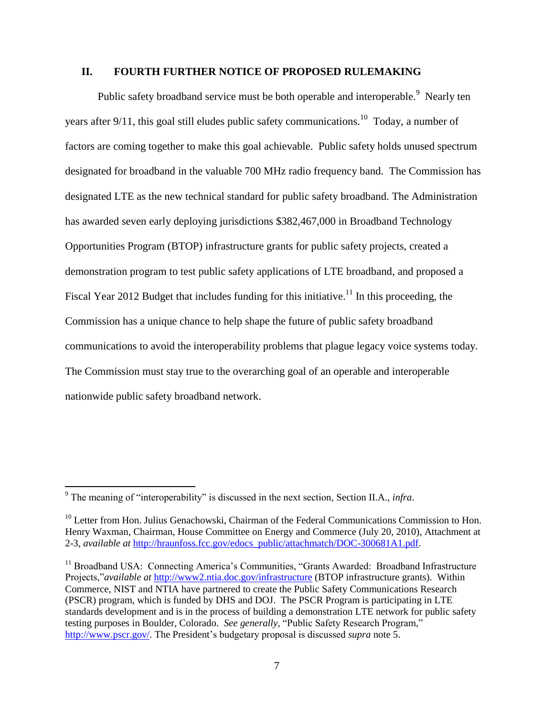# **II. FOURTH FURTHER NOTICE OF PROPOSED RULEMAKING**

Public safety broadband service must be both operable and interoperable.<sup>9</sup> Nearly ten years after 9/11, this goal still eludes public safety communications.<sup>10</sup> Today, a number of factors are coming together to make this goal achievable. Public safety holds unused spectrum designated for broadband in the valuable 700 MHz radio frequency band. The Commission has designated LTE as the new technical standard for public safety broadband. The Administration has awarded seven early deploying jurisdictions \$382,467,000 in Broadband Technology Opportunities Program (BTOP) infrastructure grants for public safety projects, created a demonstration program to test public safety applications of LTE broadband, and proposed a Fiscal Year 2012 Budget that includes funding for this initiative.<sup>11</sup> In this proceeding, the Commission has a unique chance to help shape the future of public safety broadband communications to avoid the interoperability problems that plague legacy voice systems today. The Commission must stay true to the overarching goal of an operable and interoperable nationwide public safety broadband network.

<sup>9</sup> The meaning of "interoperability" is discussed in the next section, Section II.A., *infra*.

<sup>&</sup>lt;sup>10</sup> Letter from Hon. Julius Genachowski, Chairman of the Federal Communications Commission to Hon. Henry Waxman, Chairman, House Committee on Energy and Commerce (July 20, 2010), Attachment at 2-3, *available at* [http://hraunfoss.fcc.gov/edocs\\_public/attachmatch/DOC-300681A1.pdf.](http://hraunfoss.fcc.gov/edocs_public/attachmatch/DOC-300681A1.pdf)

 $11$  Broadband USA: Connecting America's Communities, "Grants Awarded: Broadband Infrastructure Projects,"*available at* <http://www2.ntia.doc.gov/infrastructure> (BTOP infrastructure grants). Within Commerce, NIST and NTIA have partnered to create the Public Safety Communications Research (PSCR) program, which is funded by DHS and DOJ. The PSCR Program is participating in LTE standards development and is in the process of building a demonstration LTE network for public safety testing purposes in Boulder, Colorado. *See generally*, "Public Safety Research Program," [http://www.pscr.gov/.](http://www.pscr.gov/) The President's budgetary proposal is discussed *supra* note 5.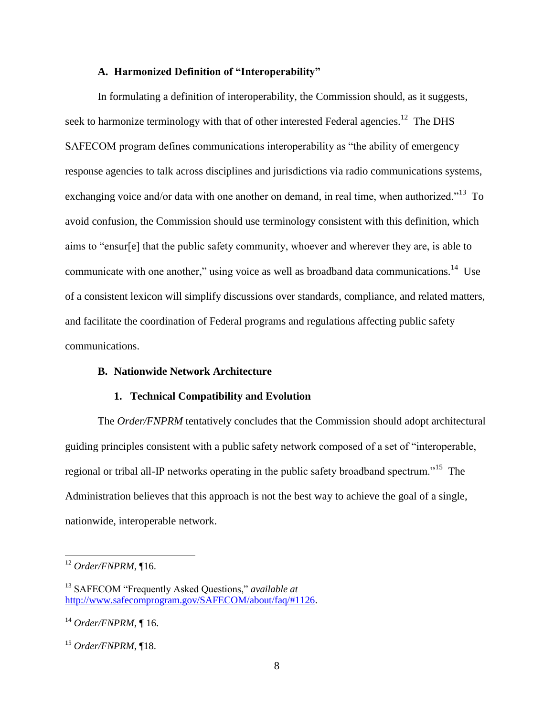# **A. Harmonized Definition of "Interoperability"**

In formulating a definition of interoperability, the Commission should, as it suggests, seek to harmonize terminology with that of other interested Federal agencies.<sup>12</sup> The DHS SAFECOM program defines communications interoperability as "the ability of emergency response agencies to talk across disciplines and jurisdictions via radio communications systems, exchanging voice and/or data with one another on demand, in real time, when authorized."<sup>13</sup> To avoid confusion, the Commission should use terminology consistent with this definition, which aims to "ensur[e] that the public safety community, whoever and wherever they are, is able to communicate with one another," using voice as well as broadband data communications.<sup>14</sup> Use of a consistent lexicon will simplify discussions over standards, compliance, and related matters, and facilitate the coordination of Federal programs and regulations affecting public safety communications.

# **B. Nationwide Network Architecture**

#### **1. Technical Compatibility and Evolution**

The *Order/FNPRM* tentatively concludes that the Commission should adopt architectural guiding principles consistent with a public safety network composed of a set of "interoperable, regional or tribal all-IP networks operating in the public safety broadband spectrum."<sup>15</sup> The Administration believes that this approach is not the best way to achieve the goal of a single, nationwide, interoperable network.

<sup>12</sup> *Order/FNPRM*, ¶16.

<sup>13</sup> SAFECOM "Frequently Asked Questions," *available at* [http://www.safecomprogram.gov/SAFECOM/about/faq/#1126.](http://www.safecomprogram.gov/SAFECOM/about/faq/#1126)

<sup>14</sup> *Order/FNPRM*, ¶ 16.

<sup>15</sup> *Order/FNPRM*, ¶18.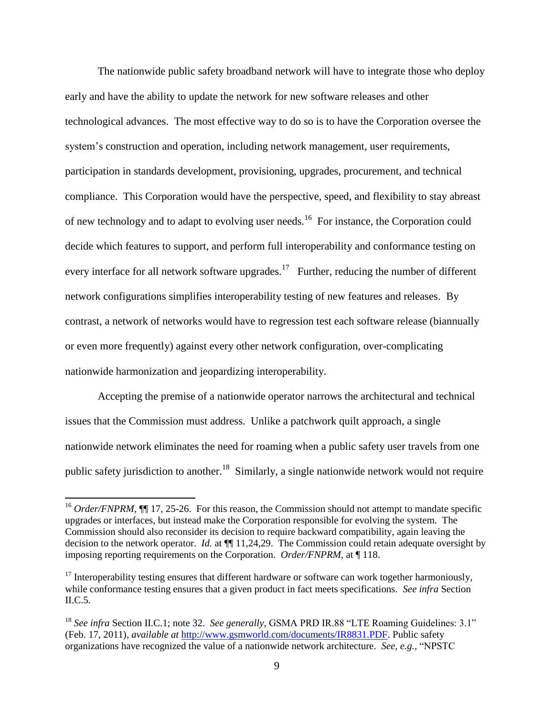The nationwide public safety broadband network will have to integrate those who deploy early and have the ability to update the network for new software releases and other technological advances. The most effective way to do so is to have the Corporation oversee the system's construction and operation, including network management, user requirements, participation in standards development, provisioning, upgrades, procurement, and technical compliance. This Corporation would have the perspective, speed, and flexibility to stay abreast of new technology and to adapt to evolving user needs.<sup>16</sup> For instance, the Corporation could decide which features to support, and perform full interoperability and conformance testing on every interface for all network software upgrades.<sup>17</sup> Further, reducing the number of different network configurations simplifies interoperability testing of new features and releases. By contrast, a network of networks would have to regression test each software release (biannually or even more frequently) against every other network configuration, over-complicating nationwide harmonization and jeopardizing interoperability.

Accepting the premise of a nationwide operator narrows the architectural and technical issues that the Commission must address. Unlike a patchwork quilt approach, a single nationwide network eliminates the need for roaming when a public safety user travels from one public safety jurisdiction to another.<sup>18</sup> Similarly, a single nationwide network would not require

<sup>&</sup>lt;sup>16</sup> *Order/FNPRM*, **[16** 17, 25-26. For this reason, the Commission should not attempt to mandate specific upgrades or interfaces, but instead make the Corporation responsible for evolving the system. The Commission should also reconsider its decision to require backward compatibility, again leaving the decision to the network operator. *Id.* at ¶¶ 11,24,29. The Commission could retain adequate oversight by imposing reporting requirements on the Corporation. *Order/FNPRM*, at ¶ 118.

 $17$  Interoperability testing ensures that different hardware or software can work together harmoniously, while conformance testing ensures that a given product in fact meets specifications. *See infra* Section II.C.5*.*

<sup>18</sup> *See infra* Section II.C.1; note 32. *See generally*, GSMA PRD IR.88 "LTE Roaming Guidelines: 3.1" (Feb. 17, 2011), *available at* [http://www.gsmworld.com/documents/IR8831.PDF.](http://www.gsmworld.com/documents/IR8831.PDF) Public safety organizations have recognized the value of a nationwide network architecture. *See, e.g.,* "NPSTC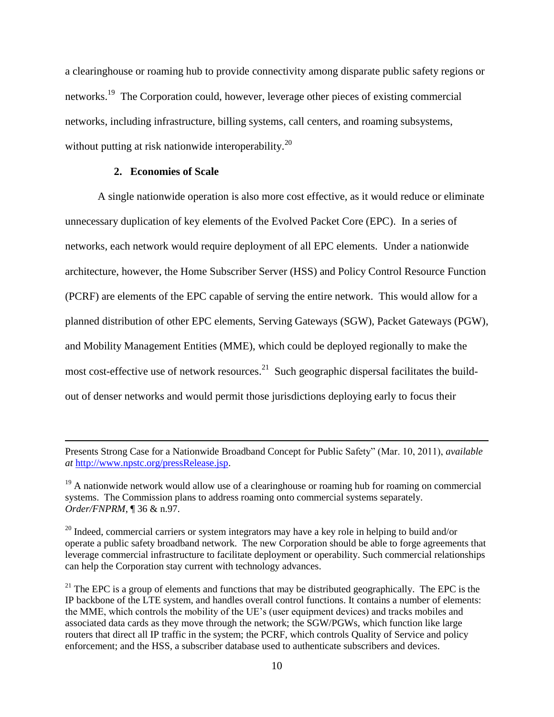a clearinghouse or roaming hub to provide connectivity among disparate public safety regions or networks.<sup>19</sup> The Corporation could, however, leverage other pieces of existing commercial networks, including infrastructure, billing systems, call centers, and roaming subsystems, without putting at risk nationwide interoperability.<sup>20</sup>

# **2. Economies of Scale**

 $\overline{a}$ 

A single nationwide operation is also more cost effective, as it would reduce or eliminate unnecessary duplication of key elements of the Evolved Packet Core (EPC). In a series of networks, each network would require deployment of all EPC elements. Under a nationwide architecture, however, the Home Subscriber Server (HSS) and Policy Control Resource Function (PCRF) are elements of the EPC capable of serving the entire network. This would allow for a planned distribution of other EPC elements, Serving Gateways (SGW), Packet Gateways (PGW), and Mobility Management Entities (MME), which could be deployed regionally to make the most cost-effective use of network resources.<sup>21</sup> Such geographic dispersal facilitates the buildout of denser networks and would permit those jurisdictions deploying early to focus their

Presents Strong Case for a Nationwide Broadband Concept for Public Safety" (Mar. 10, 2011), *available at* [http://www.npstc.org/pressRelease.jsp.](http://www.npstc.org/pressRelease.jsp)

 $19$  A nationwide network would allow use of a clearinghouse or roaming hub for roaming on commercial systems. The Commission plans to address roaming onto commercial systems separately. *Order/FNPRM*, ¶ 36 & n.97.

<sup>&</sup>lt;sup>20</sup> Indeed, commercial carriers or system integrators may have a key role in helping to build and/or operate a public safety broadband network. The new Corporation should be able to forge agreements that leverage commercial infrastructure to facilitate deployment or operability. Such commercial relationships can help the Corporation stay current with technology advances.

 $^{21}$  The EPC is a group of elements and functions that may be distributed geographically. The EPC is the IP backbone of the LTE system, and handles overall control functions. It contains a number of elements: the MME, which controls the mobility of the UE"s (user equipment devices) and tracks mobiles and associated data cards as they move through the network; the SGW/PGWs, which function like large routers that direct all IP traffic in the system; the PCRF, which controls Quality of Service and policy enforcement; and the HSS, a subscriber database used to authenticate subscribers and devices.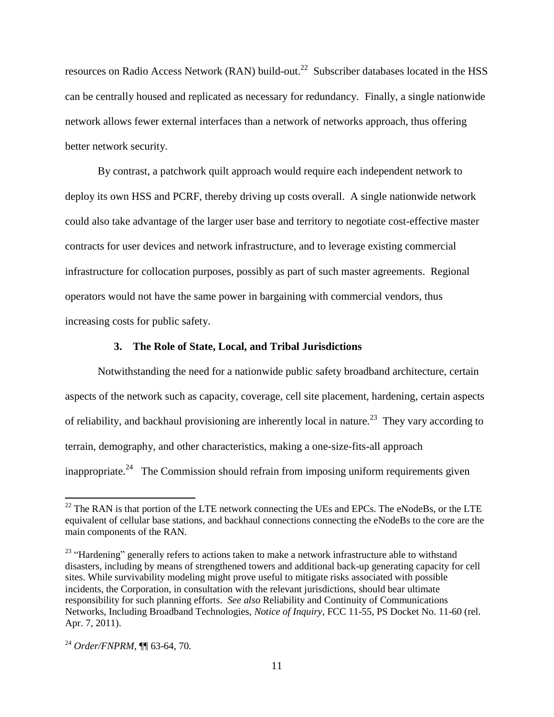resources on Radio Access Network (RAN) build-out.<sup>22</sup> Subscriber databases located in the HSS can be centrally housed and replicated as necessary for redundancy. Finally, a single nationwide network allows fewer external interfaces than a network of networks approach, thus offering better network security.

By contrast, a patchwork quilt approach would require each independent network to deploy its own HSS and PCRF, thereby driving up costs overall. A single nationwide network could also take advantage of the larger user base and territory to negotiate cost-effective master contracts for user devices and network infrastructure, and to leverage existing commercial infrastructure for collocation purposes, possibly as part of such master agreements. Regional operators would not have the same power in bargaining with commercial vendors, thus increasing costs for public safety.

#### **3. The Role of State, Local, and Tribal Jurisdictions**

Notwithstanding the need for a nationwide public safety broadband architecture, certain aspects of the network such as capacity, coverage, cell site placement, hardening, certain aspects of reliability, and backhaul provisioning are inherently local in nature.<sup>23</sup> They vary according to terrain, demography, and other characteristics, making a one-size-fits-all approach inappropriate.<sup>24</sup> The Commission should refrain from imposing uniform requirements given

 $^{22}$  The RAN is that portion of the LTE network connecting the UEs and EPCs. The eNodeBs, or the LTE equivalent of cellular base stations, and backhaul connections connecting the eNodeBs to the core are the main components of the RAN.

<sup>&</sup>lt;sup>23</sup> "Hardening" generally refers to actions taken to make a network infrastructure able to withstand disasters, including by means of strengthened towers and additional back-up generating capacity for cell sites. While survivability modeling might prove useful to mitigate risks associated with possible incidents, the Corporation, in consultation with the relevant jurisdictions, should bear ultimate responsibility for such planning efforts. *See also* Reliability and Continuity of Communications Networks, Including Broadband Technologies, *Notice of Inquiry,* FCC 11-55, PS Docket No. 11-60 (rel. Apr. 7, 2011).

<sup>24</sup> *Order/FNPRM,* ¶¶ 63-64, 70.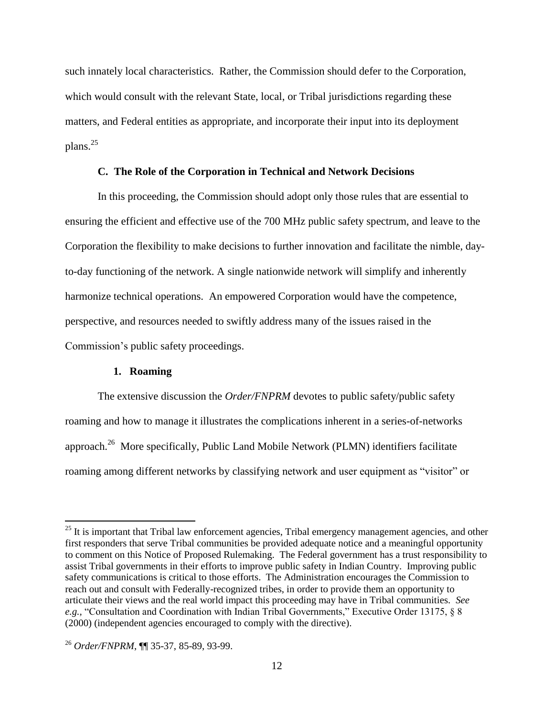such innately local characteristics. Rather, the Commission should defer to the Corporation, which would consult with the relevant State, local, or Tribal jurisdictions regarding these matters, and Federal entities as appropriate, and incorporate their input into its deployment plans.<sup>25</sup>

# **C. The Role of the Corporation in Technical and Network Decisions**

In this proceeding, the Commission should adopt only those rules that are essential to ensuring the efficient and effective use of the 700 MHz public safety spectrum, and leave to the Corporation the flexibility to make decisions to further innovation and facilitate the nimble, dayto-day functioning of the network. A single nationwide network will simplify and inherently harmonize technical operations. An empowered Corporation would have the competence, perspective, and resources needed to swiftly address many of the issues raised in the Commission"s public safety proceedings.

# **1. Roaming**

l

The extensive discussion the *Order/FNPRM* devotes to public safety/public safety roaming and how to manage it illustrates the complications inherent in a series-of-networks approach.<sup>26</sup> More specifically, Public Land Mobile Network (PLMN) identifiers facilitate roaming among different networks by classifying network and user equipment as "visitor" or

<sup>&</sup>lt;sup>25</sup> It is important that Tribal law enforcement agencies, Tribal emergency management agencies, and other first responders that serve Tribal communities be provided adequate notice and a meaningful opportunity to comment on this Notice of Proposed Rulemaking. The Federal government has a trust responsibility to assist Tribal governments in their efforts to improve public safety in Indian Country. Improving public safety communications is critical to those efforts. The Administration encourages the Commission to reach out and consult with Federally-recognized tribes, in order to provide them an opportunity to articulate their views and the real world impact this proceeding may have in Tribal communities. *See e.g.,* "Consultation and Coordination with Indian Tribal Governments," Executive Order 13175, § 8 (2000) (independent agencies encouraged to comply with the directive).

<sup>26</sup> *Order/FNPRM*, ¶¶ 35-37, 85-89, 93-99.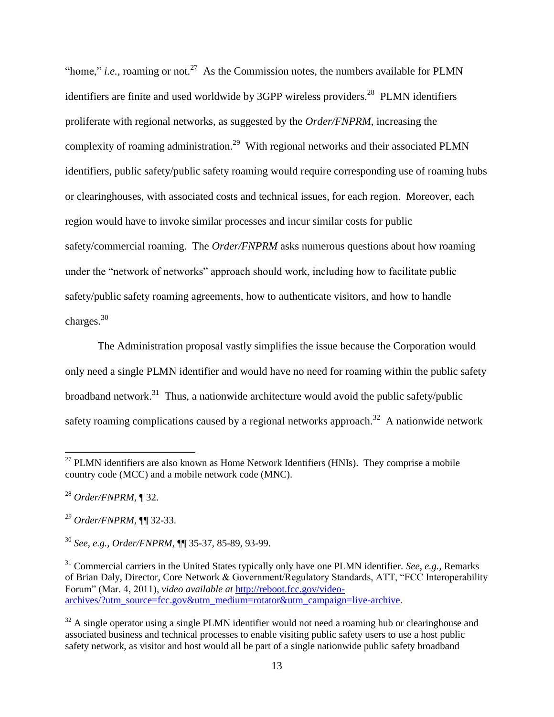"home," *i.e.*, roaming or not.<sup>27</sup> As the Commission notes, the numbers available for PLMN identifiers are finite and used worldwide by 3GPP wireless providers.<sup>28</sup> PLMN identifiers proliferate with regional networks, as suggested by the *Order/FNPRM*, increasing the complexity of roaming administration.<sup>29</sup> With regional networks and their associated PLMN identifiers, public safety/public safety roaming would require corresponding use of roaming hubs or clearinghouses, with associated costs and technical issues, for each region. Moreover, each region would have to invoke similar processes and incur similar costs for public safety/commercial roaming. The *Order/FNPRM* asks numerous questions about how roaming under the "network of networks" approach should work, including how to facilitate public safety/public safety roaming agreements, how to authenticate visitors, and how to handle charges.<sup>30</sup>

The Administration proposal vastly simplifies the issue because the Corporation would only need a single PLMN identifier and would have no need for roaming within the public safety broadband network.<sup>31</sup> Thus, a nationwide architecture would avoid the public safety/public safety roaming complications caused by a regional networks approach.<sup>32</sup> A nationwide network

 $27$  PLMN identifiers are also known as Home Network Identifiers (HNIs). They comprise a mobile country code (MCC) and a mobile network code (MNC).

<sup>28</sup> *Order/FNPRM*, ¶ 32.

*<sup>29</sup> Order/FNPRM,* ¶¶ 32-33.

<sup>30</sup> *See, e.g., Order/FNPRM*, ¶¶ 35-37, 85-89, 93-99.

<sup>&</sup>lt;sup>31</sup> Commercial carriers in the United States typically only have one PLMN identifier. *See, e.g.*, Remarks of Brian Daly, Director, Core Network & Government/Regulatory Standards, ATT, "FCC Interoperability Forum" (Mar. 4, 2011), *video available at* [http://reboot.fcc.gov/video](http://reboot.fcc.gov/video-archives/?utm_source=fcc.gov&utm_medium=rotator&utm_campaign=live-archive)[archives/?utm\\_source=fcc.gov&utm\\_medium=rotator&utm\\_campaign=live-archive.](http://reboot.fcc.gov/video-archives/?utm_source=fcc.gov&utm_medium=rotator&utm_campaign=live-archive)

 $32$  A single operator using a single PLMN identifier would not need a roaming hub or clearinghouse and associated business and technical processes to enable visiting public safety users to use a host public safety network, as visitor and host would all be part of a single nationwide public safety broadband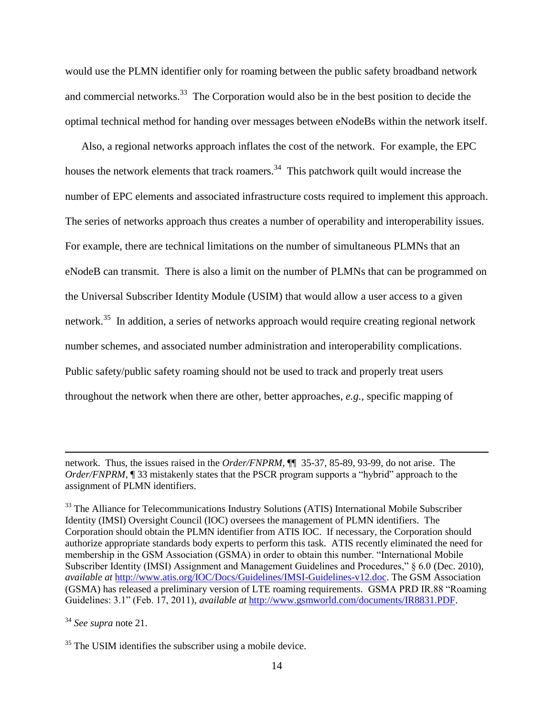would use the PLMN identifier only for roaming between the public safety broadband network and commercial networks.<sup>33</sup> The Corporation would also be in the best position to decide the optimal technical method for handing over messages between eNodeBs within the network itself.

Also, a regional networks approach inflates the cost of the network. For example, the EPC houses the network elements that track roamers.<sup>34</sup> This patchwork quilt would increase the number of EPC elements and associated infrastructure costs required to implement this approach. The series of networks approach thus creates a number of operability and interoperability issues. For example, there are technical limitations on the number of simultaneous PLMNs that an eNodeB can transmit. There is also a limit on the number of PLMNs that can be programmed on the Universal Subscriber Identity Module (USIM) that would allow a user access to a given network.<sup>35</sup> In addition, a series of networks approach would require creating regional network number schemes, and associated number administration and interoperability complications. Public safety/public safety roaming should not be used to track and properly treat users throughout the network when there are other, better approaches, *e.g.,* specific mapping of

network. Thus, the issues raised in the *Order/FNPRM,* ¶¶35-37, 85-89, 93-99, do not arise. The *Order/FNPRM*, 1 33 mistakenly states that the PSCR program supports a "hybrid" approach to the assignment of PLMN identifiers.

<sup>&</sup>lt;sup>33</sup> The Alliance for Telecommunications Industry Solutions (ATIS) International Mobile Subscriber Identity (IMSI) Oversight Council (IOC) oversees the management of PLMN identifiers. The Corporation should obtain the PLMN identifier from ATIS IOC. If necessary, the Corporation should authorize appropriate standards body experts to perform this task. ATIS recently eliminated the need for membership in the GSM Association (GSMA) in order to obtain this number. "International Mobile Subscriber Identity (IMSI) Assignment and Management Guidelines and Procedures," § 6.0 (Dec. 2010), *available at* [http://www.atis.org/IOC/Docs/Guidelines/IMSI-Guidelines-v12.doc.](http://www.atis.org/IOC/Docs/Guidelines/IMSI-Guidelines-v12.doc) The GSM Association (GSMA) has released a preliminary version of LTE roaming requirements. GSMA PRD IR.88 "Roaming Guidelines: 3.1" (Feb. 17, 2011), *available at* [http://www.gsmworld.com/documents/IR8831.PDF.](http://www.gsmworld.com/documents/IR8831.PDF)

<sup>34</sup> *See supra* note 21.

<sup>&</sup>lt;sup>35</sup> The USIM identifies the subscriber using a mobile device.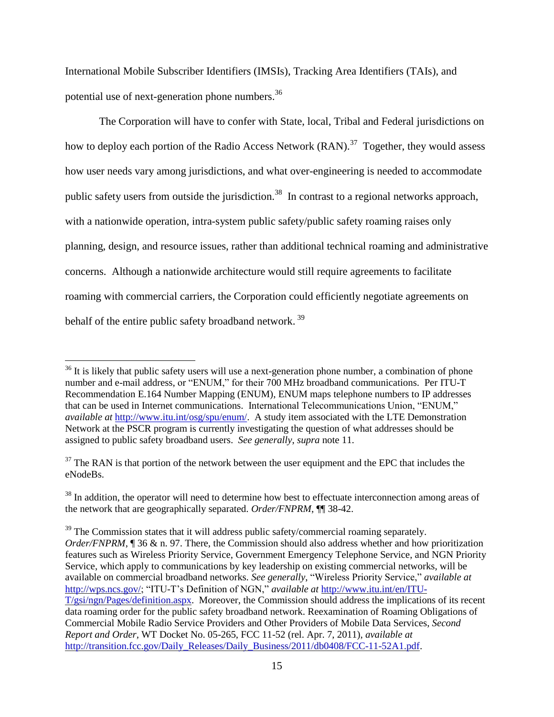International Mobile Subscriber Identifiers (IMSIs), Tracking Area Identifiers (TAIs), and potential use of next-generation phone numbers.<sup>36</sup>

 The Corporation will have to confer with State, local, Tribal and Federal jurisdictions on how to deploy each portion of the Radio Access Network  $(RAN)^3$ <sup>7</sup> Together, they would assess how user needs vary among jurisdictions, and what over-engineering is needed to accommodate public safety users from outside the jurisdiction.<sup>38</sup> In contrast to a regional networks approach, with a nationwide operation, intra-system public safety/public safety roaming raises only planning, design, and resource issues, rather than additional technical roaming and administrative concerns. Although a nationwide architecture would still require agreements to facilitate roaming with commercial carriers, the Corporation could efficiently negotiate agreements on behalf of the entire public safety broadband network.<sup>39</sup>

 $36$  It is likely that public safety users will use a next-generation phone number, a combination of phone number and e-mail address, or "ENUM," for their 700 MHz broadband communications. Per ITU-T Recommendation E.164 Number Mapping (ENUM), ENUM maps telephone numbers to IP addresses that can be used in Internet communications. International Telecommunications Union, "ENUM," *available at* [http://www.itu.int/osg/spu/enum/.](http://www.itu.int/osg/spu/enum/) A study item associated with the LTE Demonstration Network at the PSCR program is currently investigating the question of what addresses should be assigned to public safety broadband users. *See generally*, *supra* note 11.

 $37$  The RAN is that portion of the network between the user equipment and the EPC that includes the eNodeBs.

<sup>&</sup>lt;sup>38</sup> In addition, the operator will need to determine how best to effectuate interconnection among areas of the network that are geographically separated. *Order/FNPRM*, ¶¶ 38-42.

 $39$  The Commission states that it will address public safety/commercial roaming separately. *Order/FNPRM*, 136 & n. 97. There, the Commission should also address whether and how prioritization features such as Wireless Priority Service, Government Emergency Telephone Service, and NGN Priority Service, which apply to communications by key leadership on existing commercial networks, will be available on commercial broadband networks. *See generally*, "Wireless Priority Service," *available at*  [http://wps.ncs.gov/;](http://wps.ncs.gov/) "ITU-T"s Definition of NGN," *available at* [http://www.itu.int/en/ITU-](http://www.itu.int/en/ITU-T/gsi/ngn/Pages/definition.aspx)[T/gsi/ngn/Pages/definition.aspx.](http://www.itu.int/en/ITU-T/gsi/ngn/Pages/definition.aspx) Moreover, the Commission should address the implications of its recent data roaming order for the public safety broadband network. Reexamination of Roaming Obligations of Commercial Mobile Radio Service Providers and Other Providers of Mobile Data Services, *Second Report and Order,* WT Docket No. 05-265, FCC 11-52 (rel. Apr. 7, 2011), *available at*  [http://transition.fcc.gov/Daily\\_Releases/Daily\\_Business/2011/db0408/FCC-11-52A1.pdf.](http://transition.fcc.gov/Daily_Releases/Daily_Business/2011/db0408/FCC-11-52A1.pdf)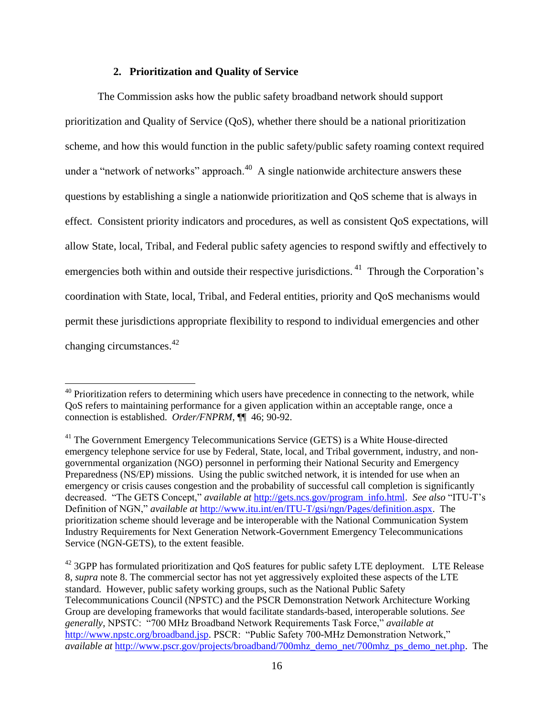### **2. Prioritization and Quality of Service**

 $\overline{\phantom{a}}$ 

The Commission asks how the public safety broadband network should support prioritization and Quality of Service (QoS), whether there should be a national prioritization scheme, and how this would function in the public safety/public safety roaming context required under a "network of networks" approach. $40$  A single nationwide architecture answers these questions by establishing a single a nationwide prioritization and QoS scheme that is always in effect. Consistent priority indicators and procedures, as well as consistent QoS expectations, will allow State, local, Tribal, and Federal public safety agencies to respond swiftly and effectively to emergencies both within and outside their respective jurisdictions.  $41$  Through the Corporation's coordination with State, local, Tribal, and Federal entities, priority and QoS mechanisms would permit these jurisdictions appropriate flexibility to respond to individual emergencies and other changing circumstances. $42$ 

 $40$  Prioritization refers to determining which users have precedence in connecting to the network, while QoS refers to maintaining performance for a given application within an acceptable range, once a connection is established. *Order/FNPRM*, ¶¶ 46; 90-92.

<sup>&</sup>lt;sup>41</sup> The Government Emergency Telecommunications Service (GETS) is a White House-directed emergency telephone service for use by Federal, State, local, and Tribal government, industry, and nongovernmental organization (NGO) personnel in performing their National Security and Emergency Preparedness (NS/EP) missions. Using the public switched network, it is intended for use when an emergency or crisis causes congestion and the probability of successful call completion is significantly decreased. "The GETS Concept," *available at* [http://gets.ncs.gov/program\\_info.html.](http://gets.ncs.gov/program_info.html) *See also* "ITU-T"s Definition of NGN," *available at* [http://www.itu.int/en/ITU-T/gsi/ngn/Pages/definition.aspx.](http://www.itu.int/en/ITU-T/gsi/ngn/Pages/definition.aspx) The prioritization scheme should leverage and be interoperable with the National Communication System Industry Requirements for Next Generation Network-Government Emergency Telecommunications Service (NGN-GETS), to the extent feasible.

<sup>&</sup>lt;sup>42</sup> 3GPP has formulated prioritization and QoS features for public safety LTE deployment. LTE Release 8, *supra* note 8. The commercial sector has not yet aggressively exploited these aspects of the LTE standard. However, public safety working groups, such as the National Public Safety Telecommunications Council (NPSTC) and the PSCR Demonstration Network Architecture Working Group are developing frameworks that would facilitate standards-based, interoperable solutions. *See generally*, NPSTC: "700 MHz Broadband Network Requirements Task Force," *available at* [http://www.npstc.org/broadband.jsp.](http://www.npstc.org/broadband.jsp) PSCR: "Public Safety 700-MHz Demonstration Network," *available at* [http://www.pscr.gov/projects/broadband/700mhz\\_demo\\_net/700mhz\\_ps\\_demo\\_net.php.](http://www.pscr.gov/projects/broadband/700mhz_demo_net/700mhz_ps_demo_net.php) The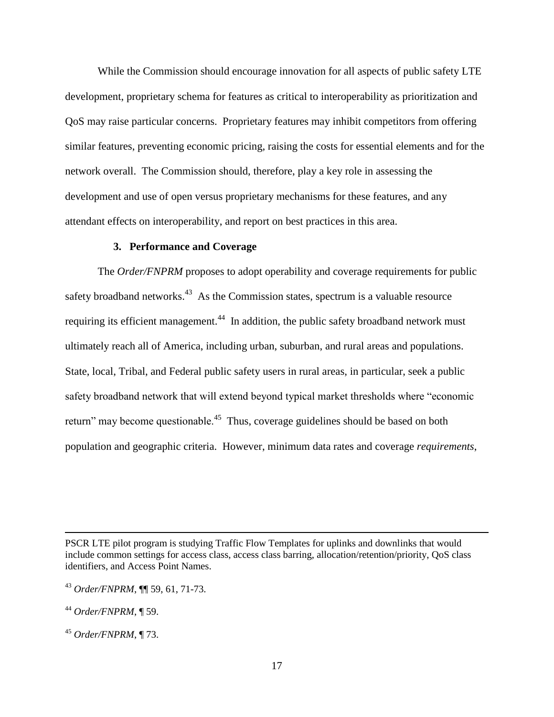While the Commission should encourage innovation for all aspects of public safety LTE development, proprietary schema for features as critical to interoperability as prioritization and QoS may raise particular concerns. Proprietary features may inhibit competitors from offering similar features, preventing economic pricing, raising the costs for essential elements and for the network overall. The Commission should, therefore, play a key role in assessing the development and use of open versus proprietary mechanisms for these features, and any attendant effects on interoperability, and report on best practices in this area.

#### **3. Performance and Coverage**

The *Order/FNPRM* proposes to adopt operability and coverage requirements for public safety broadband networks.<sup>43</sup> As the Commission states, spectrum is a valuable resource requiring its efficient management.<sup>44</sup> In addition, the public safety broadband network must ultimately reach all of America, including urban, suburban, and rural areas and populations. State, local, Tribal, and Federal public safety users in rural areas, in particular, seek a public safety broadband network that will extend beyond typical market thresholds where "economic return" may become questionable.<sup>45</sup> Thus, coverage guidelines should be based on both population and geographic criteria. However, minimum data rates and coverage *requirements*,

 $\overline{a}$ 

PSCR LTE pilot program is studying Traffic Flow Templates for uplinks and downlinks that would include common settings for access class, access class barring, allocation/retention/priority, QoS class identifiers, and Access Point Names.

<sup>43</sup> *Order/FNPRM*, ¶¶ 59, 61, 71-73.

<sup>44</sup> *Order/FNPRM*, ¶ 59.

<sup>45</sup> *Order/FNPRM*, ¶ 73.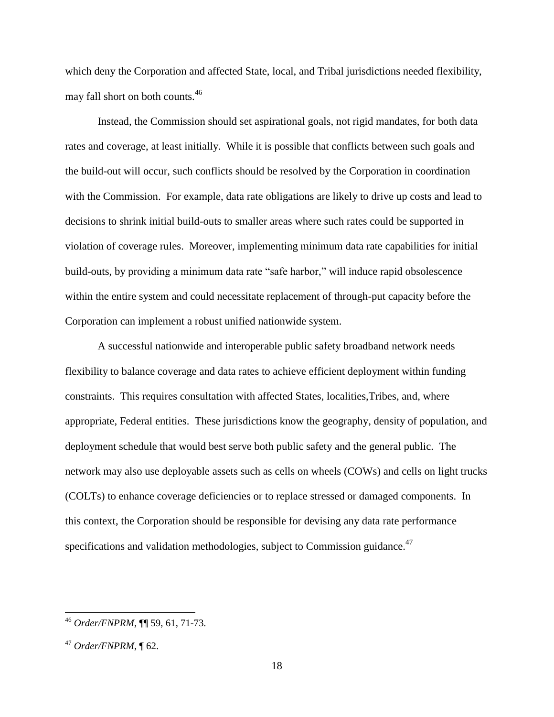which deny the Corporation and affected State, local, and Tribal jurisdictions needed flexibility, may fall short on both counts.<sup>46</sup>

Instead, the Commission should set aspirational goals, not rigid mandates, for both data rates and coverage, at least initially. While it is possible that conflicts between such goals and the build-out will occur, such conflicts should be resolved by the Corporation in coordination with the Commission. For example, data rate obligations are likely to drive up costs and lead to decisions to shrink initial build-outs to smaller areas where such rates could be supported in violation of coverage rules. Moreover, implementing minimum data rate capabilities for initial build-outs, by providing a minimum data rate "safe harbor," will induce rapid obsolescence within the entire system and could necessitate replacement of through-put capacity before the Corporation can implement a robust unified nationwide system.

A successful nationwide and interoperable public safety broadband network needs flexibility to balance coverage and data rates to achieve efficient deployment within funding constraints. This requires consultation with affected States, localities,Tribes, and, where appropriate, Federal entities. These jurisdictions know the geography, density of population, and deployment schedule that would best serve both public safety and the general public. The network may also use deployable assets such as cells on wheels (COWs) and cells on light trucks (COLTs) to enhance coverage deficiencies or to replace stressed or damaged components. In this context, the Corporation should be responsible for devising any data rate performance specifications and validation methodologies, subject to Commission guidance.<sup>47</sup>

 $\overline{a}$ 

<sup>46</sup> *Order/FNPRM*, ¶¶ 59, 61, 71-73.

<sup>47</sup> *Order/FNPRM*, ¶ 62.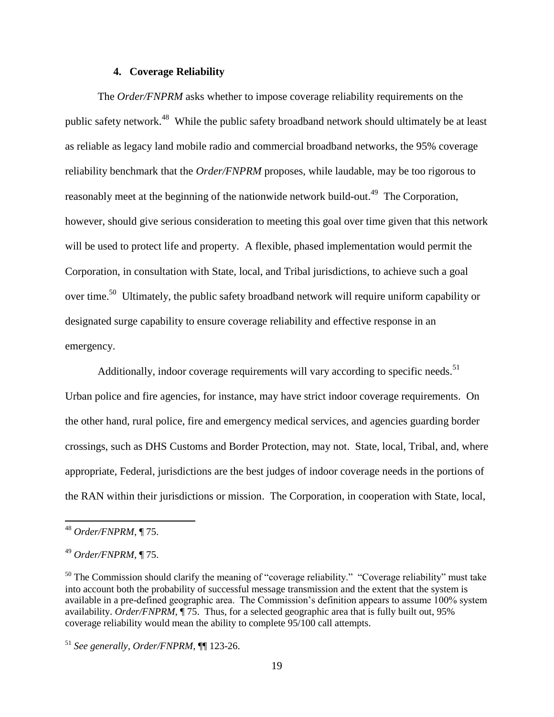#### **4. Coverage Reliability**

The *Order/FNPRM* asks whether to impose coverage reliability requirements on the public safety network.<sup>48</sup> While the public safety broadband network should ultimately be at least as reliable as legacy land mobile radio and commercial broadband networks, the 95% coverage reliability benchmark that the *Order/FNPRM* proposes, while laudable, may be too rigorous to reasonably meet at the beginning of the nationwide network build-out.<sup>49</sup> The Corporation, however, should give serious consideration to meeting this goal over time given that this network will be used to protect life and property. A flexible, phased implementation would permit the Corporation, in consultation with State, local, and Tribal jurisdictions, to achieve such a goal over time.<sup>50</sup> Ultimately, the public safety broadband network will require uniform capability or designated surge capability to ensure coverage reliability and effective response in an emergency.

Additionally, indoor coverage requirements will vary according to specific needs.<sup>51</sup> Urban police and fire agencies, for instance, may have strict indoor coverage requirements. On the other hand, rural police, fire and emergency medical services, and agencies guarding border crossings, such as DHS Customs and Border Protection, may not. State, local, Tribal, and, where appropriate, Federal, jurisdictions are the best judges of indoor coverage needs in the portions of the RAN within their jurisdictions or mission. The Corporation, in cooperation with State, local,

l

<sup>48</sup> *Order/FNPRM,* ¶ 75.

<sup>49</sup> *Order/FNPRM,* ¶ 75.

 $50$  The Commission should clarify the meaning of "coverage reliability." "Coverage reliability" must take into account both the probability of successful message transmission and the extent that the system is available in a pre-defined geographic area. The Commission"s definition appears to assume 100% system availability. *Order/FNPRM*, ¶ 75. Thus, for a selected geographic area that is fully built out, 95% coverage reliability would mean the ability to complete 95/100 call attempts.

<sup>51</sup> *See generally*, *Order/FNPRM*, ¶¶ 123-26.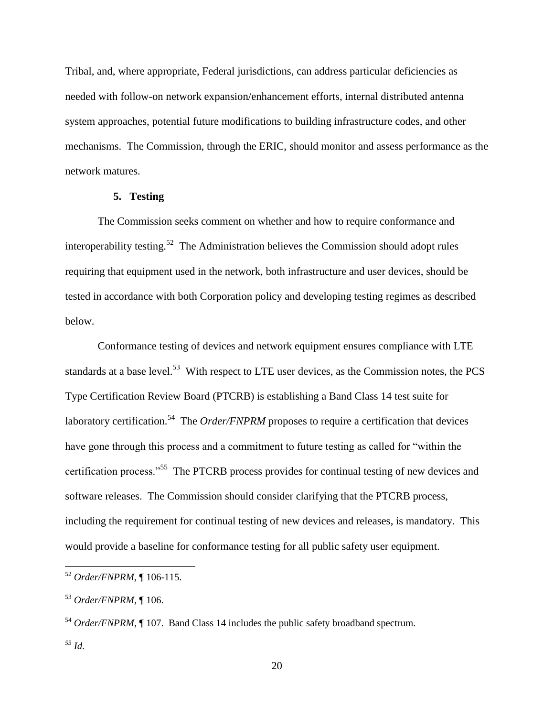Tribal, and, where appropriate, Federal jurisdictions, can address particular deficiencies as needed with follow-on network expansion/enhancement efforts, internal distributed antenna system approaches, potential future modifications to building infrastructure codes, and other mechanisms. The Commission, through the ERIC, should monitor and assess performance as the network matures.

# **5. Testing**

The Commission seeks comment on whether and how to require conformance and interoperability testing.<sup>52</sup> The Administration believes the Commission should adopt rules requiring that equipment used in the network, both infrastructure and user devices, should be tested in accordance with both Corporation policy and developing testing regimes as described below.

Conformance testing of devices and network equipment ensures compliance with LTE standards at a base level.<sup>53</sup> With respect to LTE user devices, as the Commission notes, the PCS Type Certification Review Board (PTCRB) is establishing a Band Class 14 test suite for laboratory certification.<sup>54</sup> The *Order/FNPRM* proposes to require a certification that devices have gone through this process and a commitment to future testing as called for "within the certification process."<sup>55</sup> The PTCRB process provides for continual testing of new devices and software releases. The Commission should consider clarifying that the PTCRB process, including the requirement for continual testing of new devices and releases, is mandatory. This would provide a baseline for conformance testing for all public safety user equipment.

 $\overline{a}$ 

20

<sup>52</sup> *Order/FNPRM,* ¶ 106-115.

<sup>53</sup> *Order/FNPRM,* ¶ 106.

<sup>&</sup>lt;sup>54</sup> *Order/FNPRM*, ¶ 107. Band Class 14 includes the public safety broadband spectrum.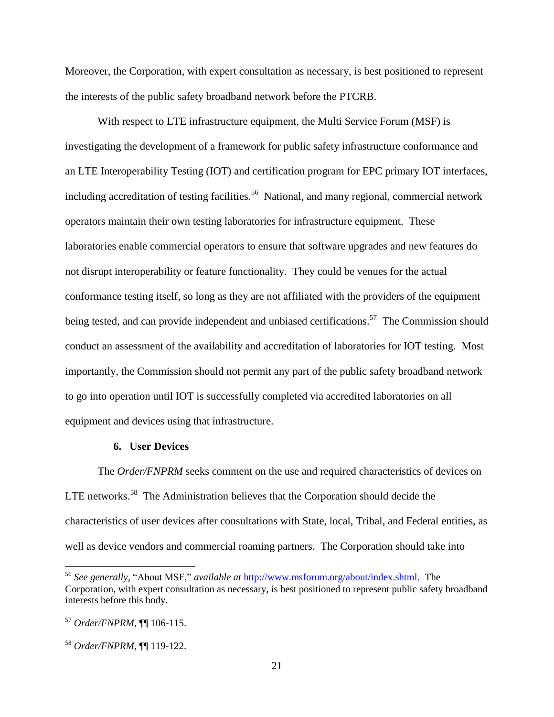Moreover, the Corporation, with expert consultation as necessary, is best positioned to represent the interests of the public safety broadband network before the PTCRB.

With respect to LTE infrastructure equipment, the Multi Service Forum (MSF) is investigating the development of a framework for public safety infrastructure conformance and an LTE Interoperability Testing (IOT) and certification program for EPC primary IOT interfaces, including accreditation of testing facilities.<sup>56</sup> National, and many regional, commercial network operators maintain their own testing laboratories for infrastructure equipment. These laboratories enable commercial operators to ensure that software upgrades and new features do not disrupt interoperability or feature functionality. They could be venues for the actual conformance testing itself, so long as they are not affiliated with the providers of the equipment being tested, and can provide independent and unbiased certifications.<sup>57</sup> The Commission should conduct an assessment of the availability and accreditation of laboratories for IOT testing. Most importantly, the Commission should not permit any part of the public safety broadband network to go into operation until IOT is successfully completed via accredited laboratories on all equipment and devices using that infrastructure.

#### **6. User Devices**

The *Order/FNPRM* seeks comment on the use and required characteristics of devices on LTE networks.<sup>58</sup> The Administration believes that the Corporation should decide the characteristics of user devices after consultations with State, local, Tribal, and Federal entities, as well as device vendors and commercial roaming partners. The Corporation should take into

 $\overline{a}$ 

<sup>56</sup> *See generally*, "About MSF," *available at* [http://www.msforum.org/about/index.shtml.](http://www.msforum.org/about/index.shtml) The Corporation, with expert consultation as necessary, is best positioned to represent public safety broadband interests before this body.

<sup>57</sup> *Order/FNPRM*, ¶¶ 106-115.

<sup>58</sup> *Order/FNPRM*, ¶¶ 119-122.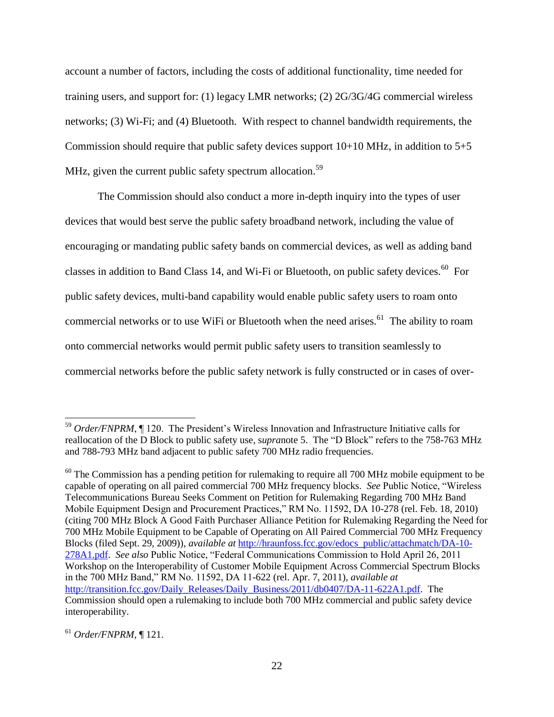account a number of factors, including the costs of additional functionality, time needed for training users, and support for: (1) legacy LMR networks; (2) 2G/3G/4G commercial wireless networks; (3) Wi-Fi; and (4) Bluetooth. With respect to channel bandwidth requirements, the Commission should require that public safety devices support  $10+10$  MHz, in addition to  $5+5$ MHz, given the current public safety spectrum allocation.<sup>59</sup>

The Commission should also conduct a more in-depth inquiry into the types of user devices that would best serve the public safety broadband network, including the value of encouraging or mandating public safety bands on commercial devices, as well as adding band classes in addition to Band Class 14, and Wi-Fi or Bluetooth, on public safety devices.<sup>60</sup> For public safety devices, multi-band capability would enable public safety users to roam onto commercial networks or to use WiFi or Bluetooth when the need arises.<sup>61</sup> The ability to roam onto commercial networks would permit public safety users to transition seamlessly to commercial networks before the public safety network is fully constructed or in cases of over-

<sup>61</sup> *Order/FNPRM*, ¶ 121.

<sup>&</sup>lt;sup>59</sup> Order/FNPRM, ¶ 120. The President's Wireless Innovation and Infrastructure Initiative calls for reallocation of the D Block to public safety use, s*upra*note 5. The "D Block" refers to the 758-763 MHz and 788-793 MHz band adjacent to public safety 700 MHz radio frequencies.

 $60$  The Commission has a pending petition for rulemaking to require all 700 MHz mobile equipment to be capable of operating on all paired commercial 700 MHz frequency blocks. *See* Public Notice, "Wireless Telecommunications Bureau Seeks Comment on Petition for Rulemaking Regarding 700 MHz Band Mobile Equipment Design and Procurement Practices," RM No. 11592, DA 10-278 (rel. Feb. 18, 2010) (citing 700 MHz Block A Good Faith Purchaser Alliance Petition for Rulemaking Regarding the Need for 700 MHz Mobile Equipment to be Capable of Operating on All Paired Commercial 700 MHz Frequency Blocks (filed Sept. 29, 2009)), *available at* [http://hraunfoss.fcc.gov/edocs\\_public/attachmatch/DA-10-](http://hraunfoss.fcc.gov/edocs_public/attachmatch/DA-10-278A1.pdf) [278A1.pdf.](http://hraunfoss.fcc.gov/edocs_public/attachmatch/DA-10-278A1.pdf) *See also* Public Notice, "Federal Communications Commission to Hold April 26, 2011 Workshop on the Interoperability of Customer Mobile Equipment Across Commercial Spectrum Blocks in the 700 MHz Band," RM No. 11592, DA 11-622 (rel. Apr. 7, 2011), *available at* [http://transition.fcc.gov/Daily\\_Releases/Daily\\_Business/2011/db0407/DA-11-622A1.pdf.](http://transition.fcc.gov/Daily_Releases/Daily_Business/2011/db0407/DA-11-622A1.pdf) The Commission should open a rulemaking to include both 700 MHz commercial and public safety device interoperability.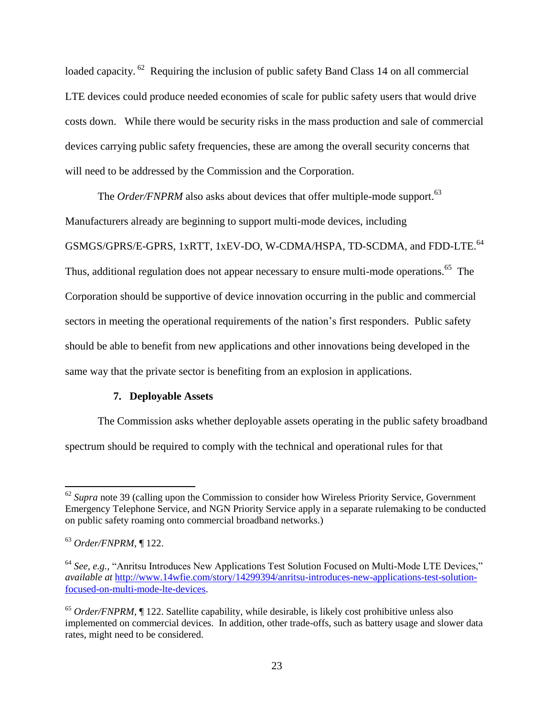loaded capacity. <sup>62</sup> Requiring the inclusion of public safety Band Class 14 on all commercial LTE devices could produce needed economies of scale for public safety users that would drive costs down. While there would be security risks in the mass production and sale of commercial devices carrying public safety frequencies, these are among the overall security concerns that will need to be addressed by the Commission and the Corporation.

The *Order/FNPRM* also asks about devices that offer multiple-mode support.<sup>63</sup> Manufacturers already are beginning to support multi-mode devices, including GSMGS/GPRS/E-GPRS, 1xRTT, 1xEV-DO, W-CDMA/HSPA, TD-SCDMA, and FDD-LTE.<sup>64</sup> Thus, additional regulation does not appear necessary to ensure multi-mode operations.<sup>65</sup> The Corporation should be supportive of device innovation occurring in the public and commercial sectors in meeting the operational requirements of the nation's first responders. Public safety should be able to benefit from new applications and other innovations being developed in the same way that the private sector is benefiting from an explosion in applications.

# **7. Deployable Assets**

The Commission asks whether deployable assets operating in the public safety broadband spectrum should be required to comply with the technical and operational rules for that

 $\overline{\phantom{a}}$ <sup>62</sup> Supra note 39 (calling upon the Commission to consider how Wireless Priority Service, Government Emergency Telephone Service, and NGN Priority Service apply in a separate rulemaking to be conducted on public safety roaming onto commercial broadband networks.)

<sup>63</sup> *Order/FNPRM*, ¶ 122.

<sup>64</sup> *See, e.g.,* "Anritsu Introduces New Applications Test Solution Focused on Multi-Mode LTE Devices," *available at* [http://www.14wfie.com/story/14299394/anritsu-introduces-new-applications-test-solution](http://www.14wfie.com/story/14299394/anritsu-introduces-new-applications-test-solution-focused-on-multi-mode-lte-devices)[focused-on-multi-mode-lte-devices.](http://www.14wfie.com/story/14299394/anritsu-introduces-new-applications-test-solution-focused-on-multi-mode-lte-devices)

<sup>&</sup>lt;sup>65</sup> *Order/FNPRM*, ¶ 122. Satellite capability, while desirable, is likely cost prohibitive unless also implemented on commercial devices. In addition, other trade-offs, such as battery usage and slower data rates, might need to be considered.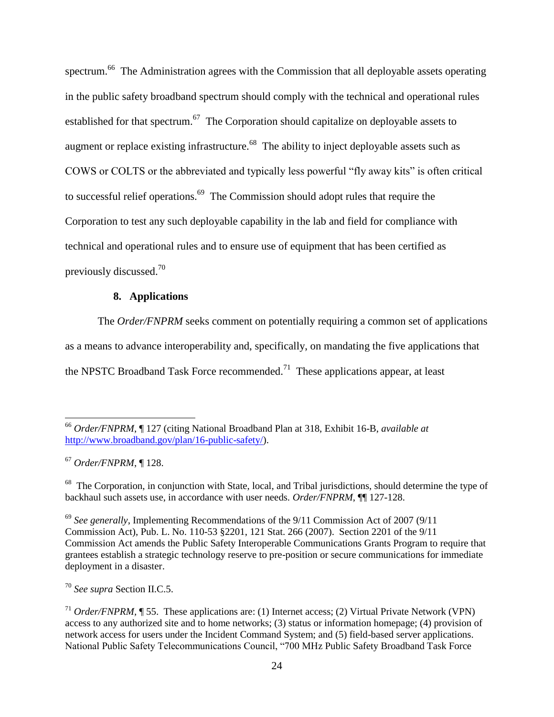spectrum.<sup>66</sup> The Administration agrees with the Commission that all deployable assets operating in the public safety broadband spectrum should comply with the technical and operational rules established for that spectrum.<sup>67</sup> The Corporation should capitalize on deployable assets to augment or replace existing infrastructure.<sup>68</sup> The ability to inject deployable assets such as COWS or COLTS or the abbreviated and typically less powerful "fly away kits" is often critical to successful relief operations.<sup>69</sup> The Commission should adopt rules that require the Corporation to test any such deployable capability in the lab and field for compliance with technical and operational rules and to ensure use of equipment that has been certified as previously discussed.<sup>70</sup>

# **8. Applications**

The *Order/FNPRM* seeks comment on potentially requiring a common set of applications as a means to advance interoperability and, specifically, on mandating the five applications that the NPSTC Broadband Task Force recommended.<sup>71</sup> These applications appear, at least

<sup>67</sup> *Order/FNPRM*, ¶ 128.

 $\overline{\phantom{a}}$ 

<sup>70</sup> *See supra* Section II.C.5.

<sup>66</sup> *Order/FNPRM*, ¶ 127 (citing National Broadband Plan at 318, Exhibit 16-B, *available at* [http://www.broadband.gov/plan/16-public-safety/\)](http://www.broadband.gov/plan/16-public-safety/).

<sup>&</sup>lt;sup>68</sup> The Corporation, in conjunction with State, local, and Tribal jurisdictions, should determine the type of backhaul such assets use, in accordance with user needs. *Order/FNPRM*, ¶¶ 127-128.

<sup>69</sup> *See generally*, Implementing Recommendations of the 9/11 Commission Act of 2007 (9/11 Commission Act), Pub. L. No. 110-53 §2201, 121 Stat. 266 (2007). Section 2201 of the 9/11 Commission Act amends the Public Safety Interoperable Communications Grants Program to require that grantees establish a strategic technology reserve to pre-position or secure communications for immediate deployment in a disaster.

<sup>&</sup>lt;sup>71</sup> *Order/FNPRM*, ¶ 55. These applications are: (1) Internet access; (2) Virtual Private Network (VPN) access to any authorized site and to home networks; (3) status or information homepage; (4) provision of network access for users under the Incident Command System; and (5) field-based server applications. National Public Safety Telecommunications Council, "700 MHz Public Safety Broadband Task Force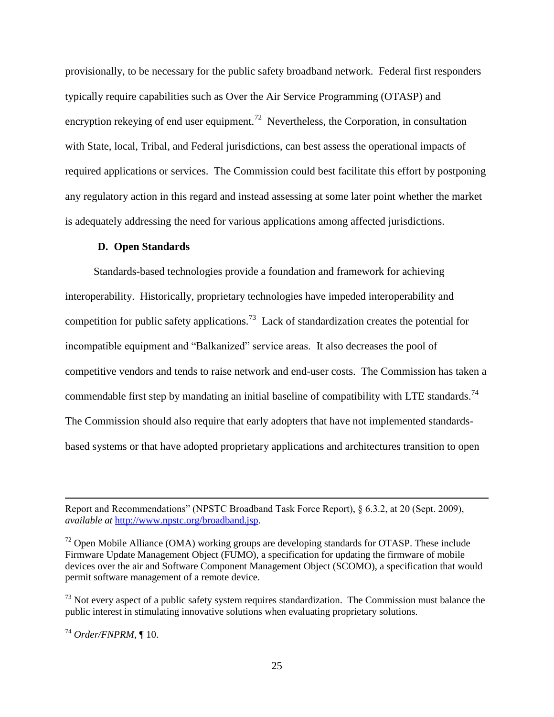provisionally, to be necessary for the public safety broadband network. Federal first responders typically require capabilities such as Over the Air Service Programming (OTASP) and encryption rekeying of end user equipment.<sup>72</sup> Nevertheless, the Corporation, in consultation with State, local, Tribal, and Federal jurisdictions, can best assess the operational impacts of required applications or services. The Commission could best facilitate this effort by postponing any regulatory action in this regard and instead assessing at some later point whether the market is adequately addressing the need for various applications among affected jurisdictions.

#### **D. Open Standards**

Standards-based technologies provide a foundation and framework for achieving interoperability. Historically, proprietary technologies have impeded interoperability and competition for public safety applications.<sup>73</sup> Lack of standardization creates the potential for incompatible equipment and "Balkanized" service areas. It also decreases the pool of competitive vendors and tends to raise network and end-user costs. The Commission has taken a commendable first step by mandating an initial baseline of compatibility with LTE standards.<sup>74</sup> The Commission should also require that early adopters that have not implemented standardsbased systems or that have adopted proprietary applications and architectures transition to open

Report and Recommendations" (NPSTC Broadband Task Force Report), § 6.3.2, at 20 (Sept. 2009), *available at* [http://www.npstc.org/broadband.jsp.](http://www.npstc.org/broadband.jsp)

 $<sup>72</sup>$  Open Mobile Alliance (OMA) working groups are developing standards for OTASP. These include</sup> Firmware Update Management Object (FUMO), a specification for updating the firmware of mobile devices over the air and Software Component Management Object (SCOMO), a specification that would permit software management of a remote device.

 $^{73}$  Not every aspect of a public safety system requires standardization. The Commission must balance the public interest in stimulating innovative solutions when evaluating proprietary solutions.

<sup>74</sup> *Order/FNPRM,* ¶ 10.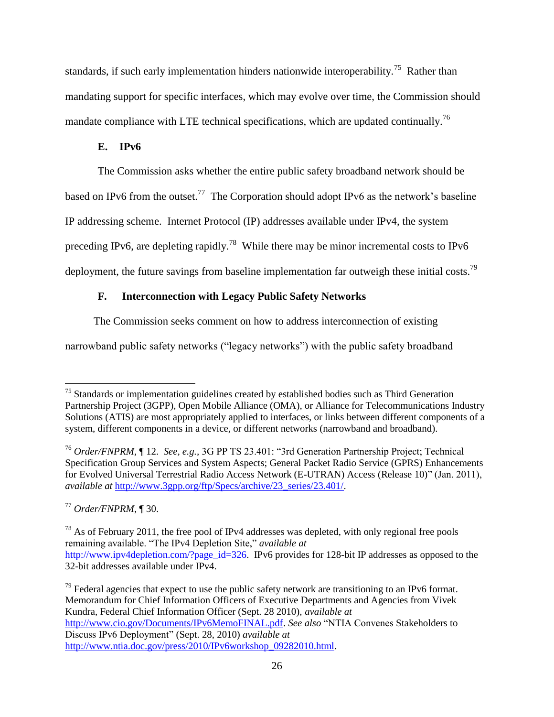standards, if such early implementation hinders nationwide interoperability.<sup>75</sup> Rather than mandating support for specific interfaces, which may evolve over time, the Commission should mandate compliance with LTE technical specifications, which are updated continually.<sup>76</sup>

# **E. IPv6**

The Commission asks whether the entire public safety broadband network should be

based on IPv6 from the outset.<sup>77</sup> The Corporation should adopt IPv6 as the network's baseline

IP addressing scheme. Internet Protocol (IP) addresses available under IPv4, the system

preceding IPv6, are depleting rapidly.<sup>78</sup> While there may be minor incremental costs to IPv6

deployment, the future savings from baseline implementation far outweigh these initial costs.<sup>79</sup>

# **F. Interconnection with Legacy Public Safety Networks**

The Commission seeks comment on how to address interconnection of existing

narrowband public safety networks ("legacy networks") with the public safety broadband

<sup>77</sup> *Order/FNPRM*, ¶ 30.

 $75$  Standards or implementation guidelines created by established bodies such as Third Generation Partnership Project (3GPP), Open Mobile Alliance (OMA), or Alliance for Telecommunications Industry Solutions (ATIS) are most appropriately applied to interfaces, or links between different components of a system, different components in a device, or different networks (narrowband and broadband).

<sup>76</sup> *Order/FNPRM,* ¶ 12. *See, e.g.,* 3G PP TS 23.401: "3rd Generation Partnership Project; Technical Specification Group Services and System Aspects; General Packet Radio Service (GPRS) Enhancements for Evolved Universal Terrestrial Radio Access Network (E-UTRAN) Access (Release 10)" (Jan. 2011), *available at* [http://www.3gpp.org/ftp/Specs/archive/23\\_series/23.401/.](http://www.3gpp.org/ftp/Specs/archive/23_series/23.401/)

 $^{78}$  As of February 2011, the free pool of IPv4 addresses was depleted, with only regional free pools remaining available. "The IPv4 Depletion Site," *available at* [http://www.ipv4depletion.com/?page\\_id=326.](http://www.ipv4depletion.com/?page_id=326) IPv6 provides for 128-bit IP addresses as opposed to the 32-bit addresses available under IPv4.

 $^{79}$  Federal agencies that expect to use the public safety network are transitioning to an IPv6 format. Memorandum for Chief Information Officers of Executive Departments and Agencies from Vivek Kundra, Federal Chief Information Officer (Sept. 28 2010), *available at*

[http://www.cio.gov/Documents/IPv6MemoFINAL.pdf.](http://www.cio.gov/Documents/IPv6MemoFINAL.pdf) *See also* "NTIA Convenes Stakeholders to Discuss IPv6 Deployment" (Sept. 28, 2010) *available at*

[http://www.ntia.doc.gov/press/2010/IPv6workshop\\_09282010.html.](http://www.ntia.doc.gov/press/2010/IPv6workshop_09282010.html)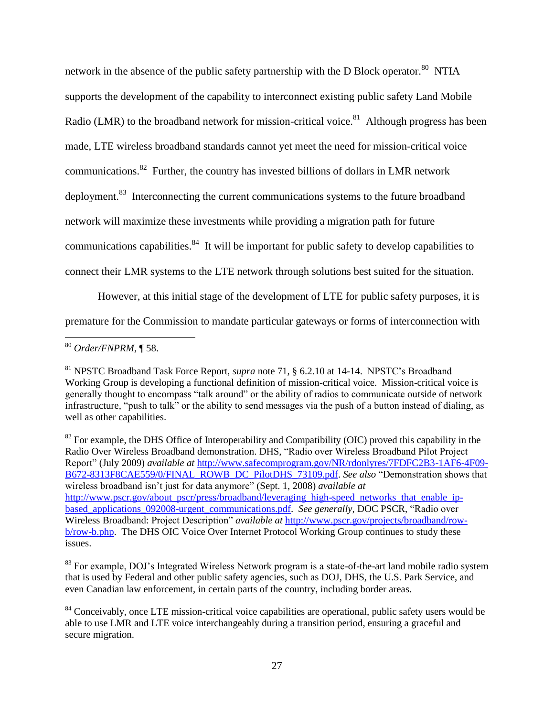network in the absence of the public safety partnership with the D Block operator.<sup>80</sup> NTIA supports the development of the capability to interconnect existing public safety Land Mobile Radio (LMR) to the broadband network for mission-critical voice.<sup>81</sup> Although progress has been made, LTE wireless broadband standards cannot yet meet the need for mission-critical voice communications.<sup>82</sup> Further, the country has invested billions of dollars in LMR network deployment.<sup>83</sup> Interconnecting the current communications systems to the future broadband network will maximize these investments while providing a migration path for future communications capabilities.<sup>84</sup> It will be important for public safety to develop capabilities to connect their LMR systems to the LTE network through solutions best suited for the situation.

However, at this initial stage of the development of LTE for public safety purposes, it is

premature for the Commission to mandate particular gateways or forms of interconnection with

 $\overline{\phantom{a}}$ <sup>80</sup> *Order/FNPRM*, ¶ 58.

<sup>81</sup> NPSTC Broadband Task Force Report, *supra* note 71, § 6.2.10 at 14-14. NPSTC"s Broadband Working Group is developing a functional definition of mission-critical voice. Mission-critical voice is generally thought to encompass "talk around" or the ability of radios to communicate outside of network infrastructure, "push to talk" or the ability to send messages via the push of a button instead of dialing, as well as other capabilities.

 $82$  For example, the DHS Office of Interoperability and Compatibility (OIC) proved this capability in the Radio Over Wireless Broadband demonstration. DHS, "Radio over Wireless Broadband Pilot Project Report" (July 2009) *available at* [http://www.safecomprogram.gov/NR/rdonlyres/7FDFC2B3-1AF6-4F09-](http://www.safecomprogram.gov/NR/rdonlyres/7FDFC2B3-1AF6-4F09-B672-8313F8CAE559/0/FINAL_ROWB_DC_PilotDHS_73109.pdf) [B672-8313F8CAE559/0/FINAL\\_ROWB\\_DC\\_PilotDHS\\_73109.pdf.](http://www.safecomprogram.gov/NR/rdonlyres/7FDFC2B3-1AF6-4F09-B672-8313F8CAE559/0/FINAL_ROWB_DC_PilotDHS_73109.pdf) *See also* "Demonstration shows that wireless broadband isn"t just for data anymore" (Sept. 1, 2008) *available at* [http://www.pscr.gov/about\\_pscr/press/broadband/leveraging\\_high-speed\\_networks\\_that\\_enable\\_ip](http://www.pscr.gov/about_pscr/press/broadband/leveraging_high-speed_networks_that_enable_ip-based_applications_092008-urgent_communications.pdf)[based\\_applications\\_092008-urgent\\_communications.pdf.](http://www.pscr.gov/about_pscr/press/broadband/leveraging_high-speed_networks_that_enable_ip-based_applications_092008-urgent_communications.pdf) *See generally*, DOC PSCR, "Radio over Wireless Broadband: Project Description" *available at* [http://www.pscr.gov/projects/broadband/row](http://www.pscr.gov/projects/broadband/row-b/row-b.php)[b/row-b.php.](http://www.pscr.gov/projects/broadband/row-b/row-b.php) The DHS OIC Voice Over Internet Protocol Working Group continues to study these issues.

<sup>&</sup>lt;sup>83</sup> For example, DOJ's Integrated Wireless Network program is a state-of-the-art land mobile radio system that is used by Federal and other public safety agencies, such as DOJ, DHS, the U.S. Park Service, and even Canadian law enforcement, in certain parts of the country, including border areas.

 $84$  Conceivably, once LTE mission-critical voice capabilities are operational, public safety users would be able to use LMR and LTE voice interchangeably during a transition period, ensuring a graceful and secure migration.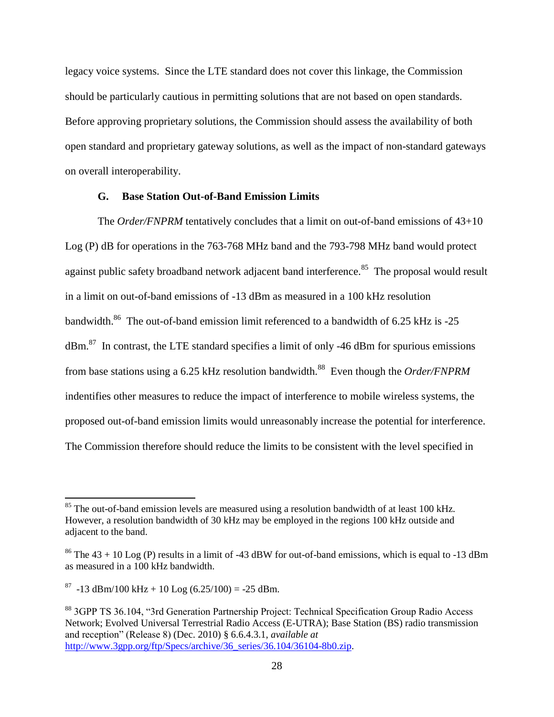legacy voice systems. Since the LTE standard does not cover this linkage, the Commission should be particularly cautious in permitting solutions that are not based on open standards. Before approving proprietary solutions, the Commission should assess the availability of both open standard and proprietary gateway solutions, as well as the impact of non-standard gateways on overall interoperability.

# **G. Base Station Out-of-Band Emission Limits**

The *Order/FNPRM* tentatively concludes that a limit on out-of-band emissions of 43+10 Log (P) dB for operations in the 763-768 MHz band and the 793-798 MHz band would protect against public safety broadband network adjacent band interference.<sup>85</sup> The proposal would result in a limit on out-of-band emissions of -13 dBm as measured in a 100 kHz resolution bandwidth.<sup>86</sup> The out-of-band emission limit referenced to a bandwidth of 6.25 kHz is -25  $dBm<sup>87</sup>$  In contrast, the LTE standard specifies a limit of only -46 dBm for spurious emissions from base stations using a 6.25 kHz resolution bandwidth.<sup>88</sup> Even though the *Order/FNPRM* indentifies other measures to reduce the impact of interference to mobile wireless systems, the proposed out-of-band emission limits would unreasonably increase the potential for interference. The Commission therefore should reduce the limits to be consistent with the level specified in

<sup>&</sup>lt;sup>85</sup> The out-of-band emission levels are measured using a resolution bandwidth of at least 100 kHz. However, a resolution bandwidth of 30 kHz may be employed in the regions 100 kHz outside and adjacent to the band.

<sup>&</sup>lt;sup>86</sup> The  $43 + 10$  Log (P) results in a limit of -43 dBW for out-of-band emissions, which is equal to -13 dBm as measured in a 100 kHz bandwidth.

 $^{87}$  -13 dBm/100 kHz + 10 Log (6.25/100) = -25 dBm.

<sup>88</sup> 3GPP TS 36.104, "3rd Generation Partnership Project: Technical Specification Group Radio Access Network; Evolved Universal Terrestrial Radio Access (E-UTRA); Base Station (BS) radio transmission and reception" (Release 8) (Dec. 2010) § 6.6.4.3.1, *available at* [http://www.3gpp.org/ftp/Specs/archive/36\\_series/36.104/36104-8b0.zip.](http://www.3gpp.org/ftp/Specs/archive/36_series/36.104/36104-8b0.zip)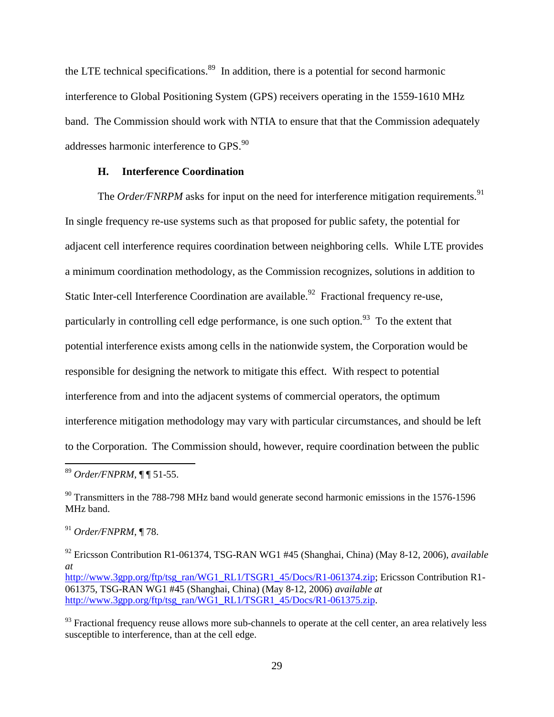the LTE technical specifications.<sup>89</sup> In addition, there is a potential for second harmonic interference to Global Positioning System (GPS) receivers operating in the 1559-1610 MHz band. The Commission should work with NTIA to ensure that that the Commission adequately addresses harmonic interference to GPS.<sup>90</sup>

# **H. Interference Coordination**

The *Order/FNRPM* asks for input on the need for interference mitigation requirements.<sup>91</sup> In single frequency re-use systems such as that proposed for public safety, the potential for adjacent cell interference requires coordination between neighboring cells. While LTE provides a minimum coordination methodology, as the Commission recognizes, solutions in addition to Static Inter-cell Interference Coordination are available.<sup>92</sup> Fractional frequency re-use, particularly in controlling cell edge performance, is one such option.<sup>93</sup> To the extent that potential interference exists among cells in the nationwide system, the Corporation would be responsible for designing the network to mitigate this effect. With respect to potential interference from and into the adjacent systems of commercial operators, the optimum interference mitigation methodology may vary with particular circumstances, and should be left to the Corporation. The Commission should, however, require coordination between the public

<sup>89</sup> *Order/FNPRM*, ¶ ¶ 51-55.

<sup>&</sup>lt;sup>90</sup> Transmitters in the 788-798 MHz band would generate second harmonic emissions in the 1576-1596 MHz band.

<sup>91</sup> *Order/FNPRM*, ¶ 78.

<sup>92</sup> Ericsson Contribution R1-061374, TSG-RAN WG1 #45 (Shanghai, China) (May 8-12, 2006), *available at* [http://www.3gpp.org/ftp/tsg\\_ran/WG1\\_RL1/TSGR1\\_45/Docs/R1-061374.zip;](http://www.3gpp.org/ftp/tsg_ran/WG1_RL1/TSGR1_45/Docs/R1-061374.zip) Ericsson Contribution R1-061375, TSG-RAN WG1 #45 (Shanghai, China) (May 8-12, 2006) *available at*  [http://www.3gpp.org/ftp/tsg\\_ran/WG1\\_RL1/TSGR1\\_45/Docs/R1-061375.zip.](http://www.3gpp.org/ftp/tsg_ran/WG1_RL1/TSGR1_45/Docs/R1-061375.zip)

 $93$  Fractional frequency reuse allows more sub-channels to operate at the cell center, an area relatively less susceptible to interference, than at the cell edge.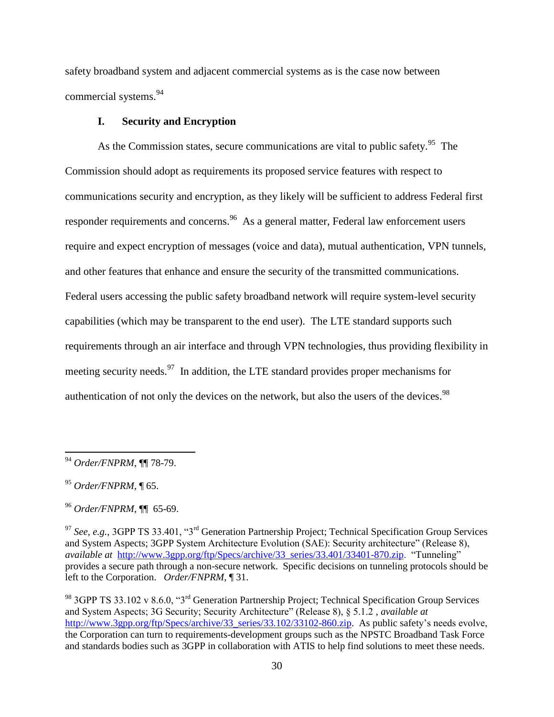safety broadband system and adjacent commercial systems as is the case now between commercial systems.<sup>94</sup>

# **I. Security and Encryption**

As the Commission states, secure communications are vital to public safety.<sup>95</sup> The Commission should adopt as requirements its proposed service features with respect to communications security and encryption, as they likely will be sufficient to address Federal first responder requirements and concerns.<sup>96</sup> As a general matter, Federal law enforcement users require and expect encryption of messages (voice and data), mutual authentication, VPN tunnels, and other features that enhance and ensure the security of the transmitted communications. Federal users accessing the public safety broadband network will require system-level security capabilities (which may be transparent to the end user). The LTE standard supports such requirements through an air interface and through VPN technologies, thus providing flexibility in meeting security needs.  $97$  In addition, the LTE standard provides proper mechanisms for authentication of not only the devices on the network, but also the users of the devices.<sup>98</sup>

<sup>94</sup> *Order/FNPRM*, ¶¶ 78-79.

<sup>95</sup> *Order/FNPRM*, ¶ 65.

<sup>96</sup> *Order/FNPRM*, ¶¶ 65-69.

<sup>97</sup> *See, e.g.,* 3GPP TS 33.401, "3rd Generation Partnership Project; Technical Specification Group Services and System Aspects; 3GPP System Architecture Evolution (SAE): Security architecture" (Release 8), *available at* [http://www.3gpp.org/ftp/Specs/archive/33\\_series/33.401/33401-870.zip.](http://www.3gpp.org/ftp/Specs/archive/33_series/33.401/33401-870.zip) "Tunneling" provides a secure path through a non-secure network. Specific decisions on tunneling protocols should be left to the Corporation. *Order/FNPRM*, ¶ 31.

<sup>98</sup> 3GPP TS 33.102 v 8.6.0, "3rd Generation Partnership Project; Technical Specification Group Services and System Aspects; 3G Security; Security Architecture" (Release 8), § 5.1.2 , *available at* [http://www.3gpp.org/ftp/Specs/archive/33\\_series/33.102/33102-860.zip.](http://www.3gpp.org/ftp/Specs/archive/33_series/33.102/33102-860.zip) As public safety's needs evolve, the Corporation can turn to requirements-development groups such as the NPSTC Broadband Task Force and standards bodies such as 3GPP in collaboration with ATIS to help find solutions to meet these needs.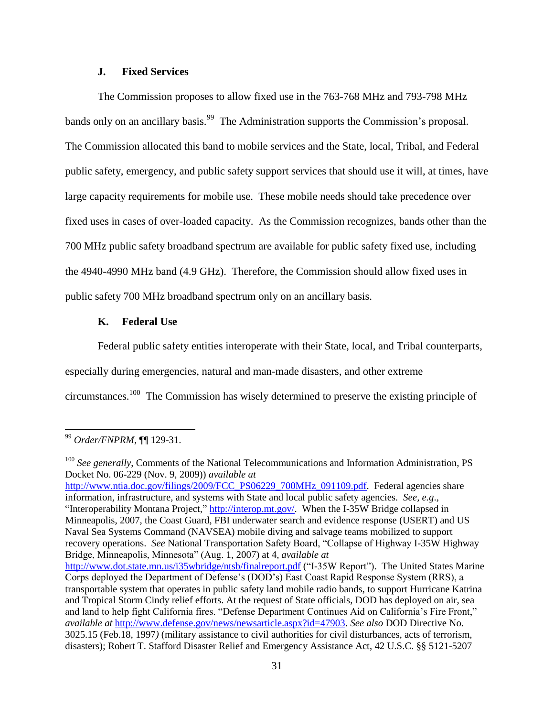# **J. Fixed Services**

The Commission proposes to allow fixed use in the 763-768 MHz and 793-798 MHz bands only on an ancillary basis.<sup>99</sup> The Administration supports the Commission's proposal. The Commission allocated this band to mobile services and the State, local, Tribal, and Federal public safety, emergency, and public safety support services that should use it will, at times, have large capacity requirements for mobile use. These mobile needs should take precedence over fixed uses in cases of over-loaded capacity. As the Commission recognizes, bands other than the 700 MHz public safety broadband spectrum are available for public safety fixed use, including the 4940-4990 MHz band (4.9 GHz). Therefore, the Commission should allow fixed uses in public safety 700 MHz broadband spectrum only on an ancillary basis.

#### **K. Federal Use**

Federal public safety entities interoperate with their State, local, and Tribal counterparts,

especially during emergencies, natural and man-made disasters, and other extreme

circumstances.<sup>100</sup> The Commission has wisely determined to preserve the existing principle of

l

information, infrastructure, and systems with State and local public safety agencies. *See, e.g*., "Interoperability Montana Project," [http://interop.mt.gov/.](http://interop.mt.gov/) When the I-35W Bridge collapsed in Minneapolis, 2007, the Coast Guard, FBI underwater search and evidence response (USERT) and US Naval Sea Systems Command (NAVSEA) mobile diving and salvage teams mobilized to support recovery operations. *See* National Transportation Safety Board, "Collapse of Highway I-35W Highway Bridge, Minneapolis, Minnesota" (Aug. 1, 2007) at 4, *available at* <http://www.dot.state.mn.us/i35wbridge/ntsb/finalreport.pdf> ("I-35W Report"). The United States Marine

<sup>99</sup> *Order/FNPRM*, ¶¶ 129-31.

<sup>&</sup>lt;sup>100</sup> See generally, Comments of the National Telecommunications and Information Administration, PS Docket No. 06-229 (Nov. 9, 2009)) *available at* [http://www.ntia.doc.gov/filings/2009/FCC\\_PS06229\\_700MHz\\_091109.pdf.](http://www.ntia.doc.gov/filings/2009/FCC_PS06229_700MHz_091109.pdf) Federal agencies share

Corps deployed the Department of Defense"s (DOD"s) East Coast Rapid Response System (RRS), a transportable system that operates in public safety land mobile radio bands, to support Hurricane Katrina and Tropical Storm Cindy relief efforts. At the request of State officials, DOD has deployed on air, sea and land to help fight California fires. "Defense Department Continues Aid on California"s Fire Front," *available at* [http://www.defense.gov/news/newsarticle.aspx?id=47903.](http://www.defense.gov/news/newsarticle.aspx?id=47903) *See also* DOD Directive No. 3025.15 (Feb.18, 1997*)* (military assistance to civil authorities for civil disturbances, acts of terrorism, disasters); Robert T. Stafford Disaster Relief and Emergency Assistance Act, 42 U.S.C. §§ 5121-5207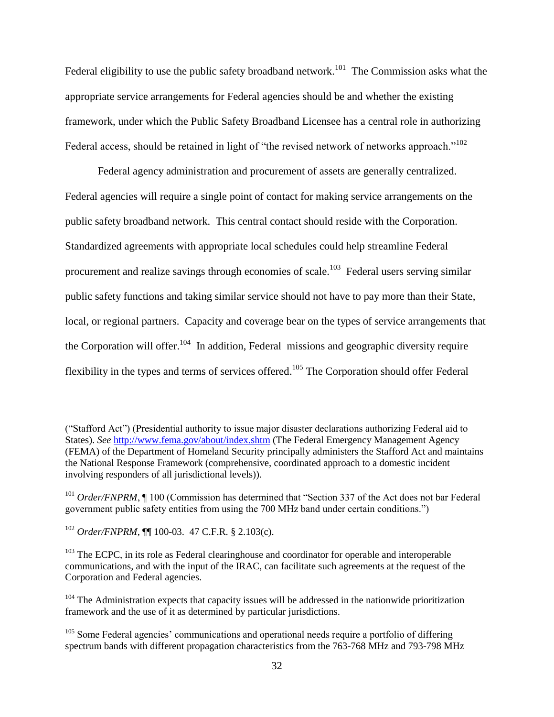Federal eligibility to use the public safety broadband network.<sup>101</sup> The Commission asks what the appropriate service arrangements for Federal agencies should be and whether the existing framework, under which the Public Safety Broadband Licensee has a central role in authorizing Federal access, should be retained in light of "the revised network of networks approach."<sup>102</sup>

Federal agency administration and procurement of assets are generally centralized. Federal agencies will require a single point of contact for making service arrangements on the public safety broadband network. This central contact should reside with the Corporation. Standardized agreements with appropriate local schedules could help streamline Federal procurement and realize savings through economies of scale.<sup>103</sup> Federal users serving similar public safety functions and taking similar service should not have to pay more than their State, local, or regional partners. Capacity and coverage bear on the types of service arrangements that the Corporation will offer.<sup>104</sup> In addition, Federal missions and geographic diversity require flexibility in the types and terms of services offered.<sup>105</sup> The Corporation should offer Federal

<sup>(&</sup>quot;Stafford Act") (Presidential authority to issue major disaster declarations authorizing Federal aid to States). *See* <http://www.fema.gov/about/index.shtm> (The Federal Emergency Management Agency (FEMA) of the Department of Homeland Security principally administers the Stafford Act and maintains the National Response Framework (comprehensive, coordinated approach to a domestic incident involving responders of all jurisdictional levels)).

<sup>&</sup>lt;sup>101</sup> *Order/FNPRM*, ¶ 100 (Commission has determined that "Section 337 of the Act does not bar Federal government public safety entities from using the 700 MHz band under certain conditions.")

<sup>102</sup> *Order/FNPRM*, ¶¶ 100-03. 47 C.F.R. § 2.103(c).

<sup>&</sup>lt;sup>103</sup> The ECPC, in its role as Federal clearinghouse and coordinator for operable and interoperable communications, and with the input of the IRAC, can facilitate such agreements at the request of the Corporation and Federal agencies.

 $104$  The Administration expects that capacity issues will be addressed in the nationwide prioritization framework and the use of it as determined by particular jurisdictions.

<sup>&</sup>lt;sup>105</sup> Some Federal agencies' communications and operational needs require a portfolio of differing spectrum bands with different propagation characteristics from the 763-768 MHz and 793-798 MHz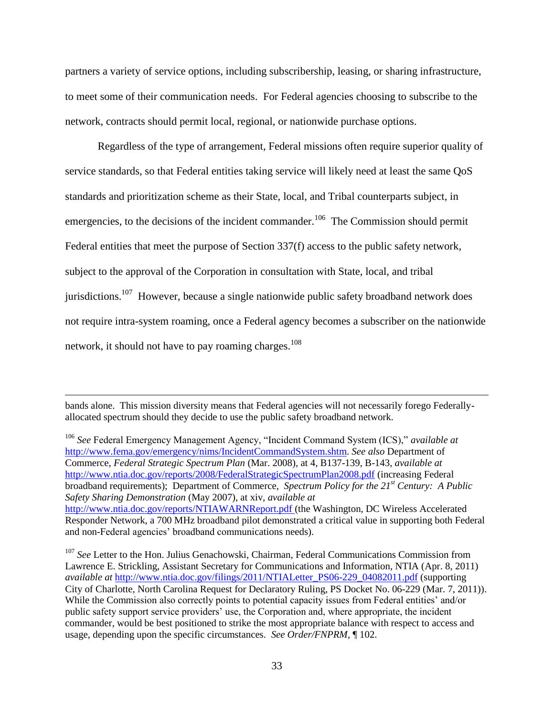partners a variety of service options, including subscribership, leasing, or sharing infrastructure, to meet some of their communication needs. For Federal agencies choosing to subscribe to the network, contracts should permit local, regional, or nationwide purchase options.

Regardless of the type of arrangement, Federal missions often require superior quality of service standards, so that Federal entities taking service will likely need at least the same QoS standards and prioritization scheme as their State, local, and Tribal counterparts subject, in emergencies, to the decisions of the incident commander.<sup>106</sup> The Commission should permit Federal entities that meet the purpose of Section 337(f) access to the public safety network, subject to the approval of the Corporation in consultation with State, local, and tribal jurisdictions.<sup>107</sup> However, because a single nationwide public safety broadband network does not require intra-system roaming, once a Federal agency becomes a subscriber on the nationwide network, it should not have to pay roaming charges.<sup>108</sup>

bands alone. This mission diversity means that Federal agencies will not necessarily forego Federallyallocated spectrum should they decide to use the public safety broadband network.

 $\overline{a}$ 

<sup>106</sup> *See* Federal Emergency Management Agency, "Incident Command System (ICS)," *available at* [http://www.fema.gov/emergency/nims/IncidentCommandSystem.shtm.](http://www.fema.gov/emergency/nims/IncidentCommandSystem.shtm) *See also* Department of Commerce, *Federal Strategic Spectrum Plan* (Mar. 2008), at 4, B137-139, B-143, *available at*  <http://www.ntia.doc.gov/reports/2008/FederalStrategicSpectrumPlan2008.pdf> (increasing Federal broadband requirements); Department of Commerce, *Spectrum Policy for the 21st Century: A Public Safety Sharing Demonstration* (May 2007), at xiv, *available at* <http://www.ntia.doc.gov/reports/NTIAWARNReport.pdf> (the Washington, DC Wireless Accelerated Responder Network, a 700 MHz broadband pilot demonstrated a critical value in supporting both Federal and non-Federal agencies' broadband communications needs).

<sup>107</sup> See Letter to the Hon. Julius Genachowski, Chairman, Federal Communications Commission from Lawrence E. Strickling, Assistant Secretary for Communications and Information, NTIA (Apr. 8, 2011) *available at* [http://www.ntia.doc.gov/filings/2011/NTIALetter\\_PS06-229\\_04082011.pdf](http://www.ntia.doc.gov/filings/2011/NTIALetter_PS06-229_04082011.pdf) (supporting City of Charlotte, North Carolina Request for Declaratory Ruling, PS Docket No. 06-229 (Mar. 7, 2011)). While the Commission also correctly points to potential capacity issues from Federal entities' and/or public safety support service providers' use, the Corporation and, where appropriate, the incident commander, would be best positioned to strike the most appropriate balance with respect to access and usage, depending upon the specific circumstances. *See Order/FNPRM*, ¶ 102.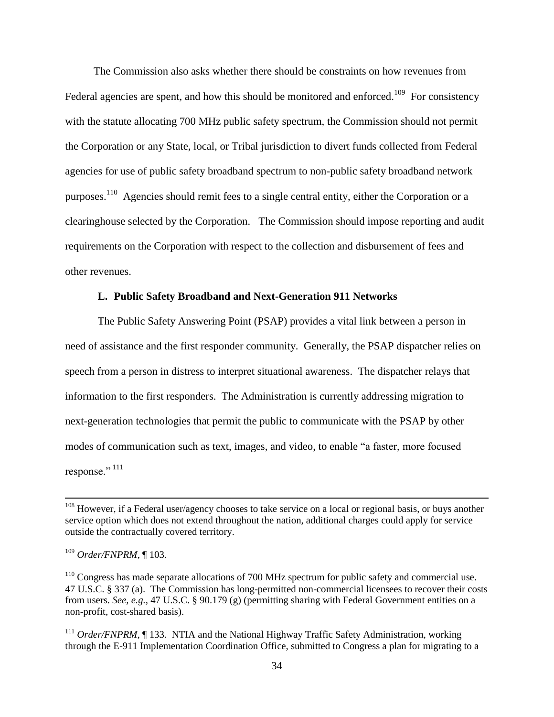The Commission also asks whether there should be constraints on how revenues from Federal agencies are spent, and how this should be monitored and enforced.<sup>109</sup> For consistency with the statute allocating 700 MHz public safety spectrum, the Commission should not permit the Corporation or any State, local, or Tribal jurisdiction to divert funds collected from Federal agencies for use of public safety broadband spectrum to non-public safety broadband network purposes.<sup>110</sup> Agencies should remit fees to a single central entity, either the Corporation or a clearinghouse selected by the Corporation. The Commission should impose reporting and audit requirements on the Corporation with respect to the collection and disbursement of fees and other revenues.

# **L. Public Safety Broadband and Next-Generation 911 Networks**

The Public Safety Answering Point (PSAP) provides a vital link between a person in need of assistance and the first responder community. Generally, the PSAP dispatcher relies on speech from a person in distress to interpret situational awareness. The dispatcher relays that information to the first responders. The Administration is currently addressing migration to next-generation technologies that permit the public to communicate with the PSAP by other modes of communication such as text, images, and video, to enable "a faster, more focused response."  $111$ 

<sup>&</sup>lt;sup>108</sup> However, if a Federal user/agency chooses to take service on a local or regional basis, or buys another service option which does not extend throughout the nation, additional charges could apply for service outside the contractually covered territory.

<sup>109</sup> *Order/FNPRM*, ¶ 103.

<sup>&</sup>lt;sup>110</sup> Congress has made separate allocations of 700 MHz spectrum for public safety and commercial use. 47 U.S.C. § 337 (a). The Commission has long-permitted non-commercial licensees to recover their costs from users. *See, e.g.,* 47 U.S.C. § 90.179 (g) (permitting sharing with Federal Government entities on a non-profit, cost-shared basis).

<sup>&</sup>lt;sup>111</sup> *Order/FNPRM*, ¶ 133. NTIA and the National Highway Traffic Safety Administration, working through the E-911 Implementation Coordination Office, submitted to Congress a plan for migrating to a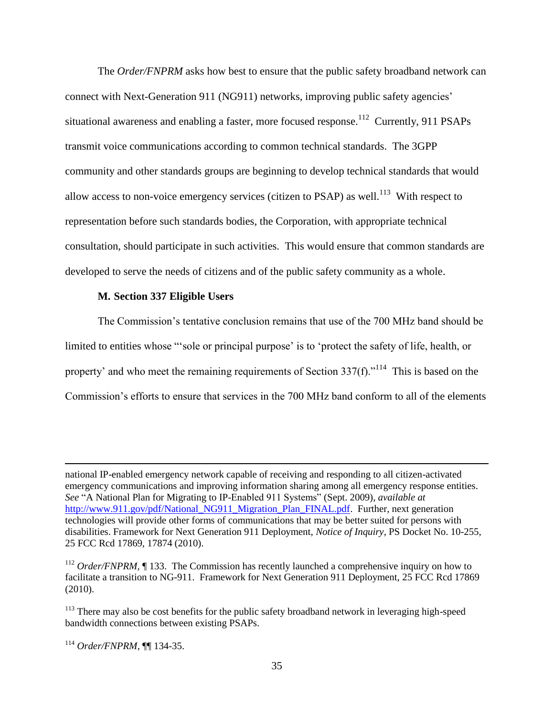The *Order/FNPRM* asks how best to ensure that the public safety broadband network can connect with Next-Generation 911 (NG911) networks, improving public safety agencies" situational awareness and enabling a faster, more focused response.<sup>112</sup> Currently, 911 PSAPs transmit voice communications according to common technical standards. The 3GPP community and other standards groups are beginning to develop technical standards that would allow access to non-voice emergency services (citizen to PSAP) as well.<sup>113</sup> With respect to representation before such standards bodies, the Corporation, with appropriate technical consultation, should participate in such activities. This would ensure that common standards are developed to serve the needs of citizens and of the public safety community as a whole.

#### **M. Section 337 Eligible Users**

The Commission"s tentative conclusion remains that use of the 700 MHz band should be limited to entities whose "sole or principal purpose' is to 'protect the safety of life, health, or property' and who meet the remaining requirements of Section  $337(f)$ ."<sup>114</sup> This is based on the Commission"s efforts to ensure that services in the 700 MHz band conform to all of the elements

national IP-enabled emergency network capable of receiving and responding to all citizen-activated emergency communications and improving information sharing among all emergency response entities. *See* "A National Plan for Migrating to IP-Enabled 911 Systems" (Sept. 2009), *available at* [http://www.911.gov/pdf/National\\_NG911\\_Migration\\_Plan\\_FINAL.pdf.](http://www.911.gov/pdf/National_NG911_Migration_Plan_FINAL.pdf) Further, next generation technologies will provide other forms of communications that may be better suited for persons with disabilities. Framework for Next Generation 911 Deployment, *Notice of Inquiry*, PS Docket No. 10-255, 25 FCC Rcd 17869, 17874 (2010).

<sup>&</sup>lt;sup>112</sup> *Order/FNPRM*, ¶ 133. The Commission has recently launched a comprehensive inquiry on how to facilitate a transition to NG-911. Framework for Next Generation 911 Deployment, 25 FCC Rcd 17869 (2010).

<sup>&</sup>lt;sup>113</sup> There may also be cost benefits for the public safety broadband network in leveraging high-speed bandwidth connections between existing PSAPs.

<sup>114</sup> *Order/FNPRM*, ¶¶ 134-35.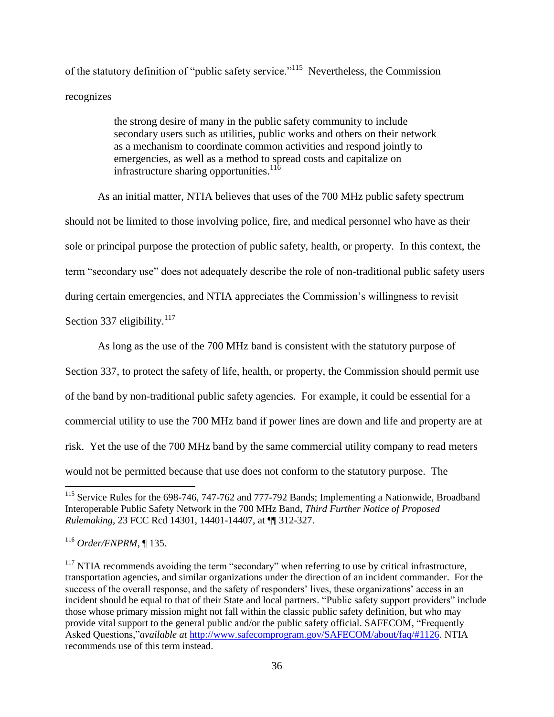of the statutory definition of "public safety service."<sup>115</sup> Nevertheless, the Commission recognizes

> the strong desire of many in the public safety community to include secondary users such as utilities, public works and others on their network as a mechanism to coordinate common activities and respond jointly to emergencies, as well as a method to spread costs and capitalize on infrastructure sharing opportunities.<sup>116</sup>

As an initial matter, NTIA believes that uses of the 700 MHz public safety spectrum should not be limited to those involving police, fire, and medical personnel who have as their sole or principal purpose the protection of public safety, health, or property. In this context, the term "secondary use" does not adequately describe the role of non-traditional public safety users during certain emergencies, and NTIA appreciates the Commission's willingness to revisit Section 337 eligibility.<sup>117</sup>

As long as the use of the 700 MHz band is consistent with the statutory purpose of Section 337, to protect the safety of life, health, or property, the Commission should permit use of the band by non-traditional public safety agencies. For example, it could be essential for a commercial utility to use the 700 MHz band if power lines are down and life and property are at risk. Yet the use of the 700 MHz band by the same commercial utility company to read meters would not be permitted because that use does not conform to the statutory purpose. The

 $\overline{\phantom{a}}$ <sup>115</sup> Service Rules for the 698-746, 747-762 and 777-792 Bands; Implementing a Nationwide, Broadband Interoperable Public Safety Network in the 700 MHz Band, *Third Further Notice of Proposed Rulemaking*, 23 FCC Rcd 14301, 14401-14407, at ¶¶ 312-327.

<sup>116</sup> *Order/FNPRM*, ¶ 135.

 $117$  NTIA recommends avoiding the term "secondary" when referring to use by critical infrastructure, transportation agencies, and similar organizations under the direction of an incident commander. For the success of the overall response, and the safety of responders' lives, these organizations' access in an incident should be equal to that of their State and local partners. "Public safety support providers" include those whose primary mission might not fall within the classic public safety definition, but who may provide vital support to the general public and/or the public safety official. SAFECOM, "Frequently Asked Questions,"*available at* [http://www.safecomprogram.gov/SAFECOM/about/faq/#1126.](http://www.safecomprogram.gov/SAFECOM/about/faq/#1126) NTIA recommends use of this term instead.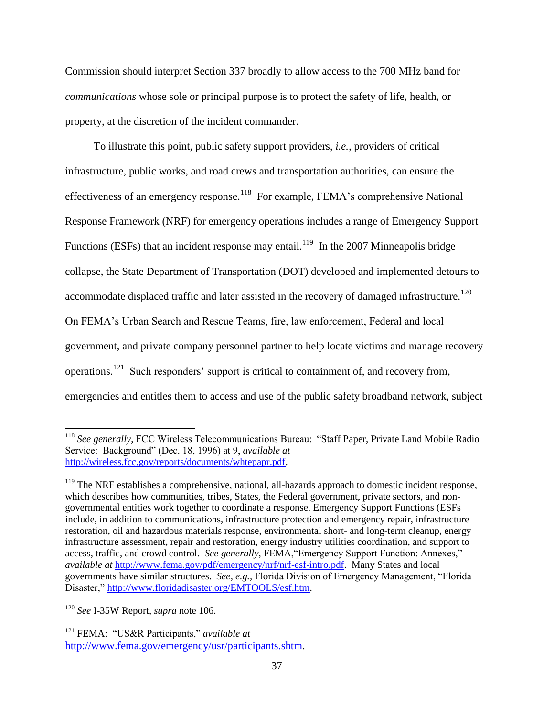Commission should interpret Section 337 broadly to allow access to the 700 MHz band for *communications* whose sole or principal purpose is to protect the safety of life, health, or property, at the discretion of the incident commander.

To illustrate this point, public safety support providers, *i.e.,* providers of critical infrastructure, public works, and road crews and transportation authorities, can ensure the effectiveness of an emergency response.<sup>118</sup> For example, FEMA's comprehensive National Response Framework (NRF) for emergency operations includes a range of Emergency Support Functions (ESFs) that an incident response may entail.<sup>119</sup> In the 2007 Minneapolis bridge collapse, the State Department of Transportation (DOT) developed and implemented detours to accommodate displaced traffic and later assisted in the recovery of damaged infrastructure.<sup>120</sup> On FEMA"s Urban Search and Rescue Teams, fire, law enforcement, Federal and local government, and private company personnel partner to help locate victims and manage recovery operations.<sup>121</sup> Such responders" support is critical to containment of, and recovery from, emergencies and entitles them to access and use of the public safety broadband network, subject

<sup>120</sup> *See* I-35W Report, *supra* note 106.

l <sup>118</sup> *See generally*, FCC Wireless Telecommunications Bureau: "Staff Paper, Private Land Mobile Radio Service: Background" (Dec. 18, 1996) at 9, *available at* [http://wireless.fcc.gov/reports/documents/whtepapr.pdf.](http://wireless.fcc.gov/reports/documents/whtepapr.pdf)

 $119$  The NRF establishes a comprehensive, national, all-hazards approach to domestic incident response, which describes how communities, tribes, States, the Federal government, private sectors, and nongovernmental entities work together to coordinate a response. Emergency Support Functions (ESFs include, in addition to communications, infrastructure protection and emergency repair, infrastructure restoration, oil and hazardous materials response, environmental short- and long-term cleanup, energy infrastructure assessment, repair and restoration, energy industry utilities coordination, and support to access, traffic, and crowd control. *See generally*, FEMA,"Emergency Support Function: Annexes," *available at* [http://www.fema.gov/pdf/emergency/nrf/nrf-esf-intro.pdf.](http://www.fema.gov/pdf/emergency/nrf/nrf-esf-intro.pdf) Many States and local governments have similar structures. *See, e.g.,* Florida Division of Emergency Management, "Florida Disaster," [http://www.floridadisaster.org/EMTOOLS/esf.htm.](http://www.floridadisaster.org/EMTOOLS/esf.htm)

<sup>121</sup> FEMA: "US&R Participants," *available at*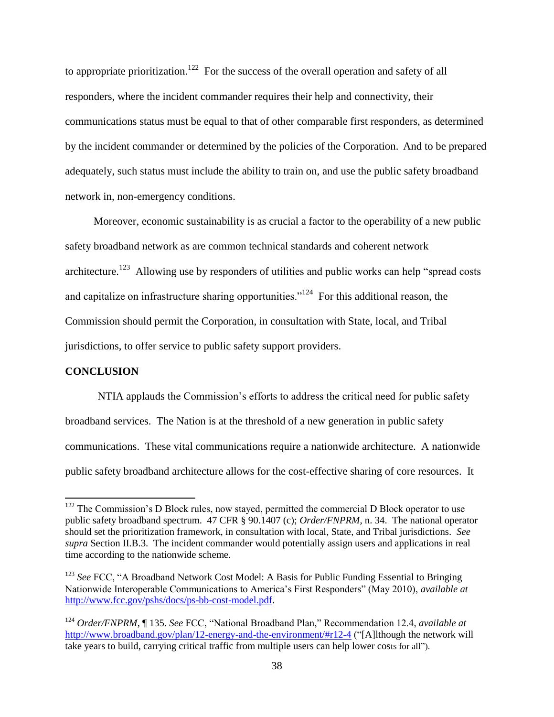to appropriate prioritization.<sup>122</sup> For the success of the overall operation and safety of all responders, where the incident commander requires their help and connectivity, their communications status must be equal to that of other comparable first responders, as determined by the incident commander or determined by the policies of the Corporation. And to be prepared adequately, such status must include the ability to train on, and use the public safety broadband network in, non-emergency conditions.

Moreover, economic sustainability is as crucial a factor to the operability of a new public safety broadband network as are common technical standards and coherent network architecture.<sup>123</sup> Allowing use by responders of utilities and public works can help "spread costs" and capitalize on infrastructure sharing opportunities."<sup>124</sup> For this additional reason, the Commission should permit the Corporation, in consultation with State, local, and Tribal jurisdictions, to offer service to public safety support providers.

# **CONCLUSION**

 $\overline{\phantom{a}}$ 

NTIA applauds the Commission"s efforts to address the critical need for public safety broadband services. The Nation is at the threshold of a new generation in public safety communications. These vital communications require a nationwide architecture. A nationwide public safety broadband architecture allows for the cost-effective sharing of core resources. It

 $122$  The Commission's D Block rules, now stayed, permitted the commercial D Block operator to use public safety broadband spectrum. 47 CFR § 90.1407 (c); *Order/FNPRM*, n. 34. The national operator should set the prioritization framework, in consultation with local, State, and Tribal jurisdictions. *See supra* Section II.B.3. The incident commander would potentially assign users and applications in real time according to the nationwide scheme.

<sup>&</sup>lt;sup>123</sup> See FCC, "A Broadband Network Cost Model: A Basis for Public Funding Essential to Bringing Nationwide Interoperable Communications to America"s First Responders" (May 2010), *available at* [http://www.fcc.gov/pshs/docs/ps-bb-cost-model.pdf.](http://www.fcc.gov/pshs/docs/ps-bb-cost-model.pdf)

<sup>124</sup> *Order/FNPRM*, ¶ 135. *See* FCC, "National Broadband Plan," Recommendation 12.4, *available at* <http://www.broadband.gov/plan/12-energy-and-the-environment/#r12-4> ("[A]lthough the network will take years to build, carrying critical traffic from multiple users can help lower costs for all").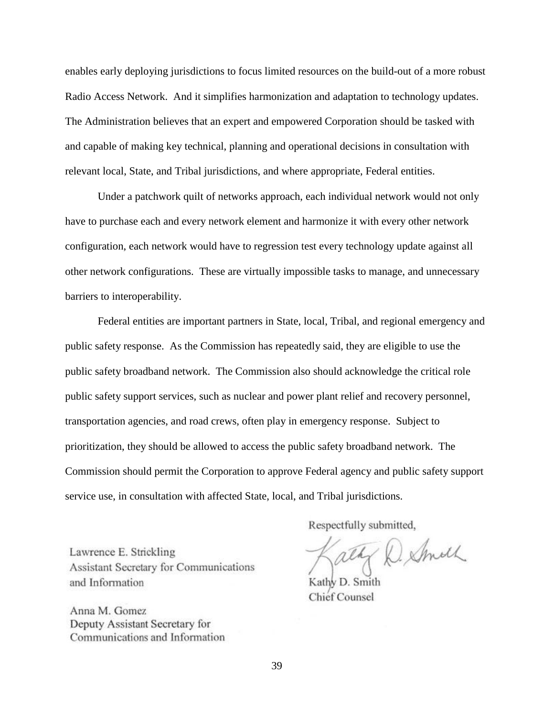enables early deploying jurisdictions to focus limited resources on the build-out of a more robust Radio Access Network. And it simplifies harmonization and adaptation to technology updates. The Administration believes that an expert and empowered Corporation should be tasked with and capable of making key technical, planning and operational decisions in consultation with relevant local, State, and Tribal jurisdictions, and where appropriate, Federal entities.

Under a patchwork quilt of networks approach, each individual network would not only have to purchase each and every network element and harmonize it with every other network configuration, each network would have to regression test every technology update against all other network configurations. These are virtually impossible tasks to manage, and unnecessary barriers to interoperability.

Federal entities are important partners in State, local, Tribal, and regional emergency and public safety response. As the Commission has repeatedly said, they are eligible to use the public safety broadband network. The Commission also should acknowledge the critical role public safety support services, such as nuclear and power plant relief and recovery personnel, transportation agencies, and road crews, often play in emergency response. Subject to prioritization, they should be allowed to access the public safety broadband network. The Commission should permit the Corporation to approve Federal agency and public safety support service use, in consultation with affected State, local, and Tribal jurisdictions.

Lawrence E. Strickling Assistant Secretary for Communications and Information

Anna M. Gomez Deputy Assistant Secretary for Communications and Information Respectfully submitted,

ally D. Smith

Kathy D. Smith **Chief Counsel**